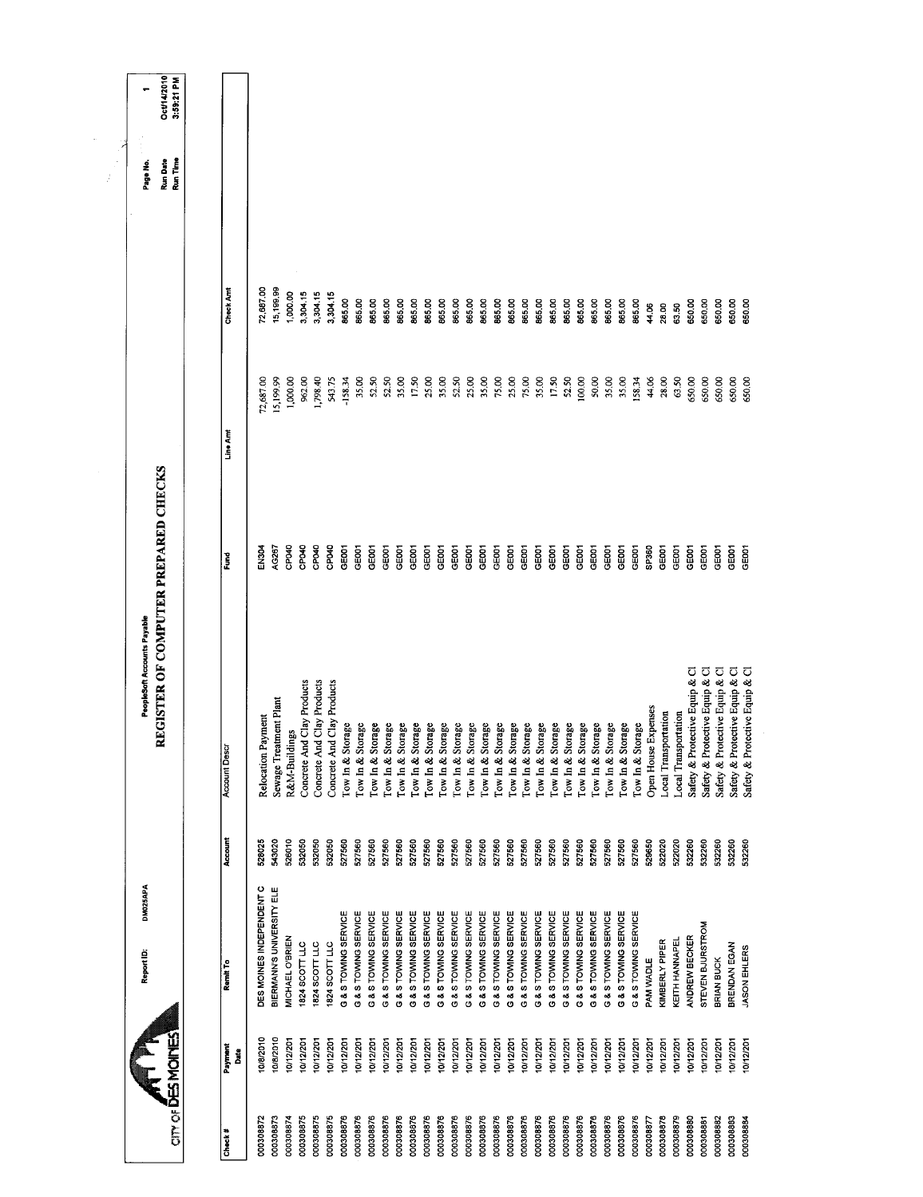|                             | Oct/14/2010<br>3:59:21 PM            |                      |      |                          |                           |                                             |                            |                            |                      |                      |                      |                      |                                              |                        |                                      |                      |                      |                                 |                      |                                              |                                      |                                 |                      |                      |                      |                      |                      |                      |                     |                      |                             |                                |                                |                                |                                |
|-----------------------------|--------------------------------------|----------------------|------|--------------------------|---------------------------|---------------------------------------------|----------------------------|----------------------------|----------------------|----------------------|----------------------|----------------------|----------------------------------------------|------------------------|--------------------------------------|----------------------|----------------------|---------------------------------|----------------------|----------------------------------------------|--------------------------------------|---------------------------------|----------------------|----------------------|----------------------|----------------------|----------------------|----------------------|---------------------|----------------------|-----------------------------|--------------------------------|--------------------------------|--------------------------------|--------------------------------|
| Page No.                    | Run Time<br>Run Date                 |                      |      |                          |                           |                                             |                            |                            |                      |                      |                      |                      |                                              |                        |                                      |                      |                      |                                 |                      |                                              |                                      |                                 |                      |                      |                      |                      |                      |                      |                     |                      |                             |                                |                                |                                |                                |
|                             |                                      | <b>Check Amt</b>     |      | 72,687.00                | 15,199.99                 | 1,000.00<br>3,304.15                        | 3,304.15                   | 3,304.15                   | 865.00               | 865.00               | 865.00               | 865.00               | 865.00                                       | 865.00                 | 865.00<br>865.00                     | 865.00               | 865.00               | 865.00                          | 865.00               | 865.00                                       | 865.00<br>865.00                     | 865.00                          | 865.00               | 865.00               | 865.00               | 865.00               | 865.00               | 865.00               | 44.06               | 28.00                | 63.50                       | 650,00                         | 650.00                         | 650.00                         | 650.00                         |
|                             |                                      | Line Amt             |      | 72,687.00                | 15,199.99                 | 1,000.00<br>962.00                          | 1,798.40                   | 543.75                     | $-158.34$            | 35.00                | 52.50                | 52.50                | 35.00                                        | 17.50                  | 25.00<br>35.00                       | 52.50                | 25.00                | 35.00                           | 75.00                | 25.00                                        | 75.00<br>35.00                       | 17.50                           | 52.50                | 100.00               | 50.00                | 35.00                | 35.00                | 158.34               | 44.06               | 28.00                | 63.50                       | 650.00                         | 650.00                         | 650.00                         | 650.00                         |
|                             | REGISTER OF COMPUTER PREPARED CHECKS | Fund                 |      | EN304                    | AG267                     | CP040<br>CPO40                              | CPO40                      | CPO40                      | GE001                | GE001                | GE001                | GE001                | GE001<br>GE001                               | <b>GE001</b>           | GE001                                | GE001                | GE001                | GE001                           | GE001                | GE001<br>GE001                               | GE001                                | GE001                           | GEOOT                | GE001                | GE001                | GE001                | GE001                | GE001                | SP360               | GE001                | GE001                       | GE001                          | GE <sub>001</sub>              | GE001<br>GE001                 |                                |
| PeopleSoft Accounts Payable |                                      | <b>Account Descr</b> |      | Relocation Payment       | Sewage Treatment Plant    | Concrete And Clay Products<br>R&M-Buildings | Concrete And Clay Products | Concrete And Clay Products | Tow In & Storage     | Tow In & Storage     | Tow In & Storage     | Tow In & Storage     | Tow In & Storage                             | Tow In & Storage       | Tow In & Storage<br>Tow In & Storage | Tow In & Storage     | Tow In & Storage     | Tow In & Storage                | Tow In & Storage     | Tow In & Storage                             | Tow In & Storage<br>Tow In & Storage | Tow In & Storage                | Tow In & Storage     | Tow In & Storage     | Tow In & Storage     | Tow in & Storage     | Tow In & Storage     | Tow In & Storage     | Open House Expenses | Local Transportation | <b>Local Transportation</b> | Safety & Protective Equip & Cl | Safety & Protective Equip & Cl | Safety & Protective Equip & Cl | Safety & Protective Equip & Cl |
|                             |                                      | Account              |      | 528025                   | 543020                    | 526010<br>532050                            | 532050                     | 532050                     | 527560               | 527560               | 527560               | 527560               | 527560<br>527560                             | 527560                 | 527560                               | 527560               | 527560               | 527560                          | 527560               | 527560<br>527560                             | 527560                               | 527560                          | 527560               | 527560               | 527560               | 527560               | 527560               | 527560               | 529650              | 522020               | 522020                      | 532260                         | 532260                         | 532260<br>532260               |                                |
| DM025APA<br>Report ID:      |                                      | Remit To             |      | DES MOINES INDEPENDENT C | BIERMANN'S UNIVERSITY ELE | MICHAEL O'BRIEN<br>1824 SCOTT LLC           | 1824 SCOTT LLC             | 1824 SCOTT LLC             | G & S TOWING SERVICE | G & S TOWING SERVICE | G & S TOWING SERVICE | G & S TOWING SERVICE | G & S TOWING SERVICE<br>G & S TOWING SERVICE | G & S TOWING SERVICE   | G & S TOWING SERVICE                 | G & S TOWING SERVICE | G & S TOWING SERVICE | <b>G &amp; S TOWING SERVICE</b> | G & S TOWING SERVICE | G & S TOWING SERVICE<br>G & S TOWING SERVICE | <b>G &amp; S TOWING SERVICE</b>      | <b>G &amp; S TOWING SERVICE</b> | G & S TOWING SERVICE | G & S TOWING SERVICE | G & S TOWING SERVICE | G & S TOWING SERVICE | G & S TOWING SERVICE | G & S TOWING SERVICE | PAM WADLE           | KIMBERLY PIPER       | KEITH HANNAPEL              | ANDREW BECKER                  | STEVEN BJURSTROM               | BRENDAN EGAN<br>BRIAN BUCK     |                                |
|                             | <b>CITY OF DES MOINES</b>            | Payment              | Date | 10/8/2010                | 10/8/2010                 | 10/12/201<br>10/12/201                      | 10/12/201                  | 10/12/201                  | 10/12/201            | 10/12/201            | 10/12/201            | 10/12/201            | 10/12/201                                    | 10/12/201<br>10/12/201 | 10/12/201                            | 10/12/201            | 10/12/201            | 10/12/201                       | 10/12/201            | 10/12/201                                    | 10/12/201<br>10/12/201               | 10/12/201                       | 10/12/201            | 10/12/201            | 10/12/201            | 10/12/201            | 10/12/201            | 10/12/201            | 10/12/201           | 10/12/201            | 10/12/201                   | 10/12/201                      | 10/12/201                      | 10/12/201                      | 10/12/201                      |
|                             |                                      | Check#               |      | 000308872                | 000308873                 | 000308875<br>000308874                      | 000308875                  | 000308875                  | 000308876            | 000308876            | 000308876            | 000308876            | 000308876<br>000308876                       | 000308876              | 000308876                            | 000308876            | 000308876            | 000308876                       | 000308876            | 000308876<br>000308876                       | 000308876                            | 000308876                       | 000308876            | 000308876            | 000308876            | 000308876            | 000308876            | 000308876            | 000308877           | 000308878            | 000308879                   | 000308880                      | 000308881                      | 000308882<br>000308883         | 000308884                      |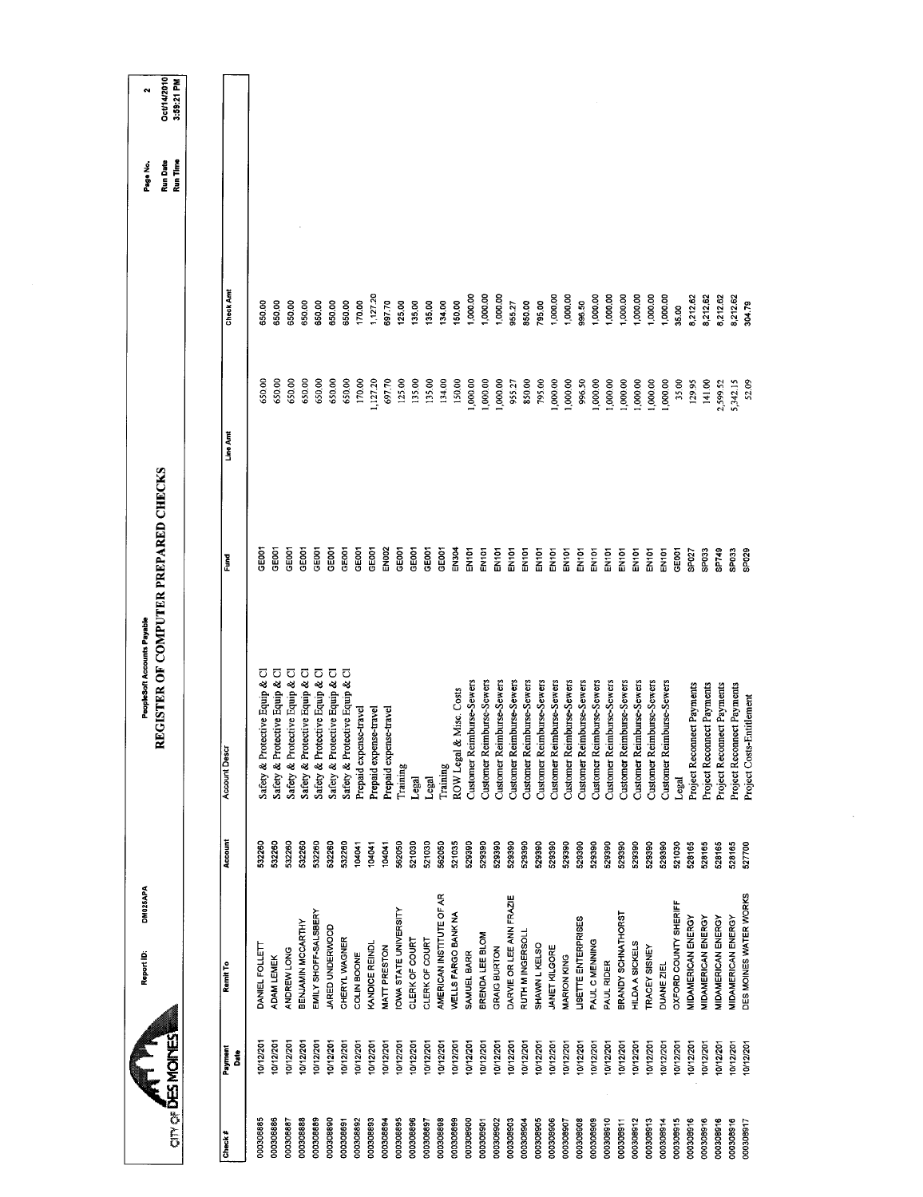|                         |                              |         | REGISTER OF COMPUTER PREPARED CHECKS |                   |          |          | <b>Run Date</b> | Oct/14/2010 |
|-------------------------|------------------------------|---------|--------------------------------------|-------------------|----------|----------|-----------------|-------------|
| om of <b>DES MOINES</b> |                              |         |                                      |                   |          |          | Run Time        | 3:59:21 PM  |
|                         |                              |         |                                      |                   |          |          |                 |             |
| Payment<br>Date         | Remit To                     | Account | <b>Account Descr</b>                 | Fund              | Line Amt | Check Am |                 |             |
| 0/12/20<br>000308885    | DANEL FOLLETT                | 532260  | Safety & Protective Equip & Cl       | GE001             | 650,00   | 650.00   |                 |             |
| 0/12/201<br>000308886   | <b>ADAM LEMEK</b>            | 532260  | Safety & Protective Equip & Cl       | GE001             | 650.00   | 650.00   |                 |             |
| 10/12/201<br>000308887  | ANDREW LONG                  | 532260  | Safety & Protective Equip & Cl       | GE001             | 650.00   | 650.00   |                 |             |
| 0/12/201<br>000308888   | BENJAMIN MCCARTHY            | 532260  | Safety & Protective Equip & Cl       | GE001             | 650,00   | 650.00   |                 |             |
| 10/12/201<br>000308889  | EMILY SHOFF-SALSBERY         | 532260  | Safety & Protective Equip & Cl       | GEOOT             | 650,00   | 650.00   |                 |             |
| 10/12/201<br>000308890  | JARED UNDERWOOD              | 532260  | Safety & Protective Equip & Cl       | <b>GEOOT</b>      | 650,00   | 650.00   |                 |             |
| 10/12/201<br>000308891  | CHERYL WAGNER                | 532260  | Safety & Protective Equip & Cl       | GE001             | 650.00   | 650.00   |                 |             |
| 10/12/201<br>000308892  | COLIN BOONE                  | 104041  | Prepaid expense-travel               | GE001             | 170.00   | 170.00   |                 |             |
| 10/12/201<br>000308893  | <b>VANDICE REINDL</b>        | 104041  | Prepaid expense-travel               | GE001             | 1,127.20 | 1,127.20 |                 |             |
| 10/12/201<br>000308894  | MATT PRESTON                 | 104041  | Prepaid expense-travel               | EN002             | 697.70   | 697.70   |                 |             |
| 10/12/201<br>000308895  | <b>IOWA STATE UNIVERSITY</b> | 562050  | Training                             | GE001             | 125.00   | 125,00   |                 |             |
| 0/12/201<br>000308896   | CLERK OF COURT               | 521030  | Legal                                | GE001             | 135,00   | 135.00   |                 |             |
| 10/12/201<br>000308897  | CLERK OF COURT               | 521030  | Legal                                | GE001             | 135.00   | 135,00   |                 |             |
| 10/12/201<br>000308898  | AMERICAN INSTITUTE OF AR     | 562050  | Training                             | GE001             | 134,00   | 134.00   |                 |             |
| 10/12/201<br>000308899  | WELLS FARGO BANK NA          | 521035  | & Misc. Costs<br>ROW Legal           | EN304             | 150,00   | 150.00   |                 |             |
| 10/12/201<br>000308900  | SAMUEL BARR                  | 529390  | Customer Reimburse-Sewers            | EN101             | 1,000.00 | 1,000.00 |                 |             |
| 10/12/201<br>000308901  | BRENDA LEE BLOM              | 529390  | Customer Reimburse-Sewers            | EN101             | 1,000.00 | 1,000.00 |                 |             |
| 10/12/201<br>000308902  | <b>GRAIG BURTON</b>          | 529390  | Customer Reimburse-Sewers            | EN101             | 1,000.00 | 1,000.00 |                 |             |
| 10/12/201<br>000308903  | DARVIE OR LEE ANN FRAZIE     | 529390  | Customer Reimburse-Sewers            | EN <sub>101</sub> | 955.27   | 955.27   |                 |             |
| 10/12/201               | RUTH M INGERSOLL             | 529390  | Customer Reimburse-Sewers            | EN101             | 850.00   | 850.00   |                 |             |
| 10/12/201<br>000308905  | SHAWN L KELSO                | 529390  | Customer Reimburse-Sewers            | EN101             | 795.00   | 795,00   |                 |             |
| 10/12/201<br>000308906  | JANET KILGORE                | 529390  | Customer Reimburse-Sewers            | EN <sub>10</sub>  | 1,000.00 | 1,000.00 |                 |             |
| 10/12/201               | MARION KING                  | 529390  | Customer Reimburse-Sewers            | EN101             | 1,000.00 | 1,000.00 |                 |             |
| 10/12/201<br>000308908  | LISETTE ENTERPRISES          | 529390  | Customer Reimburse-Sewers            | EN101             | 996.50   | 996.50   |                 |             |
| 0/12/201<br>000308909   | PAUL C MENNING               | 529390  | Customer Reimburse-Sewers            | EN101             | 1,000.00 | 1,000.00 |                 |             |
| 10/12/201<br>000308910  | PAUL RIDER                   | 529390  | Customer Reimburse-Sewers            | EN <sub>101</sub> | 1,000.00 | 1,000.00 |                 |             |
| 0/12/201<br>000308911   | BRANDY SCHNATHORST           | 529390  | Customer Reimburse-Sewers            | ENIOT             | 1,000.00 | 1,000.00 |                 |             |
| 0/12/201<br>000308912   | HILDA A SICKELS              | 529390  | Customer Reimburse-Sewers            | EN <sub>101</sub> | 1,000.00 | 1,000.00 |                 |             |
| 10/12/201<br>000308913  | TRACEY SISNEY                | 529390  | Customer Reimburse-Sewers            | EN101             | 1,000.00 | 1,000.00 |                 |             |
| 10/12/201<br>000308914  | DUANE ZIEL                   | 529390  | Customer Reimburse-Sewers            | EN101             | 1,000.00 | 1,000.00 |                 |             |
| 0/12/201<br>000308915   | OXFORD COUNTY SHERIFF        | 521030  | Legal                                | GEOOT             | 35.00    | 35.00    |                 |             |
| 10/12/201<br>000308916  | MIDAMERICAN ENERGY           | 528165  | Project Reconnect Payments           | SP <sub>027</sub> | 129.95   | 8,212.62 |                 |             |
| 10/12/201<br>000308916  | <b>MIDAMERICAN ENERGY</b>    | 528165  | Project Reconnect Payments           | SPO33             | 141.00   | 8,212.62 |                 |             |
| 10/12/201<br>000308916  | MIDAMERICAN ENERGY           | 528165  | Project Reconnect Payments           | SP749             | 2,599.52 | 8,212.62 |                 |             |
| 10/12/20<br>000308916   | MIDAMERICAN ENERGY           | 528165  | Project Reconnect Payments           | SPO <sub>3</sub>  | 5,342.15 | 8,212.62 |                 |             |
| 0/12/201<br>000308917   | DES MOINES WATER WORKS       | 527700  | Project Costs-Entitlement            | SPO <sub>29</sub> | 52.09    | 304.79   |                 |             |

 $\sim$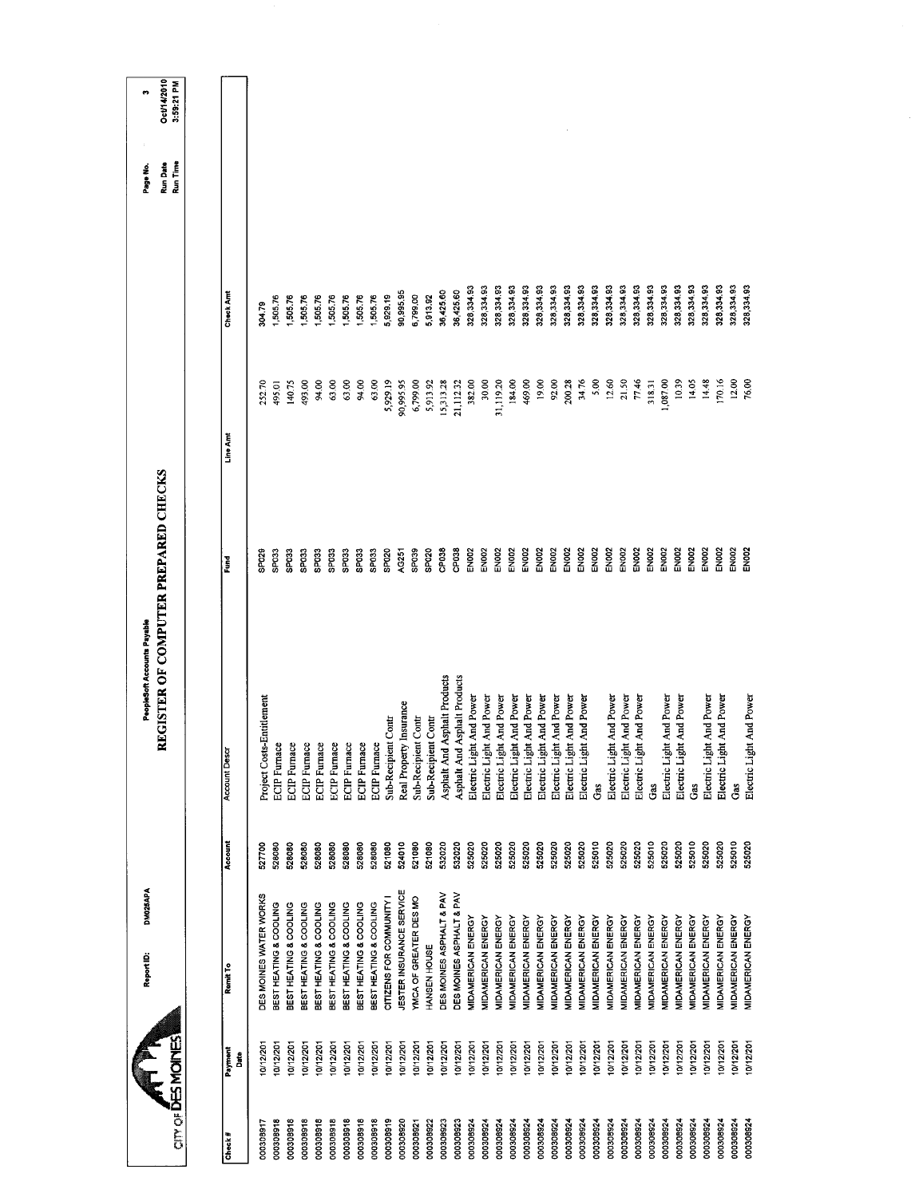|                   |                 | DM025APA<br>Report ID:    |         | PeopleSoft Accounts Payable          |                   |           |            | Page No.                    | ø                         |
|-------------------|-----------------|---------------------------|---------|--------------------------------------|-------------------|-----------|------------|-----------------------------|---------------------------|
| CITY OF DES MONES |                 |                           |         | REGISTER OF COMPUTER PREPARED CHECKS |                   |           |            | <b>Run Date</b><br>Run Time | Oct/14/2010<br>3:59:21 PM |
|                   |                 |                           |         |                                      |                   |           |            |                             |                           |
| Check#            | Payment<br>Date | Remit To                  | Account | Account Deso                         | Fund              | Line Am   | Check Am   |                             |                           |
| 000308917         | 0/12/20         | DES MOINES WATER WORKS    | 527700  | Project Costs-Entitlement            | SP029             | 252.70    | 30479      |                             |                           |
| 000308918         | 10/12/201       | BEST HEATING & COOLING    | 528080  | <b>ECIP</b> Furnace                  | SPO33             | 495,01    | 1,505.76   |                             |                           |
| 000308918         | 10/12/201       | BEST HEATING & COOLING    | 528080  | <b>ECIP</b> Furnace                  | SPO33             | 140.75    | 505.76     |                             |                           |
| 000308918         | 10/12/201       | BEST HEATING & COOLING    | 528080  | <b>ECIP</b> Furnace                  | SPO33             | 493.00    | 505.76     |                             |                           |
| 000308918         | 10/12/201       | BEST HEATING & COOLING    | 528080  | <b>ECIP</b> Furnace                  | SPO33             | 94,00     | 1,505.76   |                             |                           |
| 000308918         | 0/12/201        | BEST HEATING & COOLING    | 528080  | <b>ECIP</b> Furnace                  | SP <sub>033</sub> | 63.00     | 1,505,76   |                             |                           |
| 000308918         | 0/12/20         | BEST HEATING & COOLING    | 528080  | <b>ECIP</b> Furnace                  | SP <sub>033</sub> | 63.00     | 1,505.76   |                             |                           |
| 000308918         | 10/12/201       | BEST HEATING & COOLING    | 528080  | <b>ECIP</b> Furnace                  | SP033             | 94.00     | 1,505.76   |                             |                           |
| 000308918         | 0/12/201        | BEST HEATING & COOLING    | 528080  | <b>ECIP</b> Furnace                  | SP <sub>033</sub> | 63.00     | 1,505.76   |                             |                           |
| 000308919         | 10/12/201       | CITIZENS FOR COMMUNITY I  | 521080  | Sub-Recipient Contr                  | SP020             | 5,929.19  | 5,929.19   |                             |                           |
| 000308920         | 10/12/201       | JESTER INSURANCE SERVICE  | 524010  | Real Property Insurance              | AG251             | 90,995.95 | 90,995.95  |                             |                           |
| 000308921         | 10/12/201       | YMCA OF GREATER DES MO    | 521080  | Sub-Recipient Contr                  | SP039             | 6,799.00  | 6,799.00   |                             |                           |
| 000308922         | 10/12/201       | HANSEN HOUSE              | 521080  | Sub-Recipient Contr                  | SPO <sub>20</sub> | 5,913.92  | 5,913.92   |                             |                           |
| 000308923         | 10/12/201       | DES MOINES ASPHALT & PAV  | 532020  | Asphalt And Asphalt Products         | CP038             | 15,313.28 | 36,425.60  |                             |                           |
| 000308923         | 0/12/201        | DES MOINES ASPHALT & PAV  | 532020  | Asphalt And Asphalt Products         | CP038             | 21,112.32 | 36,425.60  |                             |                           |
| 000308924         | 10/12/201       | MIDAMERICAN ENERGY        | 525020  | Electric Light And Power             | EN002             | 382.00    | 328,33493  |                             |                           |
| 000308924         | 10/12/201       | MIDAMERICAN ENERGY        | 525020  | Electric Light And Power             | EN002             | 30.00     | 328,334.93 |                             |                           |
| 000308924         | 10/12/201       | MIDAMERICAN ENERGY        | 525020  | Electric Light And Power             | EN002             | 31,119.20 | 328,334.93 |                             |                           |
| 000308924         | 10/12/201       | MIDAMERICAN ENERGY        | 525020  | Electric Light And Power             | EN002             | 184.00    | 328,33493  |                             |                           |
| 000308924         | 10/12/201       | MIDAMERICAN ENERGY        | 525020  | Electric Light And Power             | <b>EN002</b>      | 469.00    | 328,334.93 |                             |                           |
| 000308924         | 10/12/201       | MIDAMERICAN ENERGY        | 525020  | Electric Light And Power             | <b>EN002</b>      | 19.00     | 328,334.93 |                             |                           |
| 000308924         | 10/12/201       | MIDAMERICAN ENERGY        | 525020  | Electric Light And Power             | EN002             | 92.00     | 328,334.93 |                             |                           |
| 000308924         | 10/12/201       | MIDAMERICAN ENERGY        | 525020  | Electric Light And Power             | EN002             | 200.28    | 328,334.93 |                             |                           |
| 000308924         | 10/12/201       | MIDAMERICAN ENERGY        | 525020  | Electric Light And Power             | <b>EN002</b>      | 34.76     | 328,334.93 |                             |                           |
| 000308924         | 10/12/201       | MIDAMERICAN ENERGY        | 525010  | Gas                                  | <b>EN002</b>      | 5.00      | 328,334.93 |                             |                           |
| 000308924         | 10/12/201       | MIDAMERICAN ENERGY        | 525020  | Electric Light And Power             | EN002             | 12.60     | 328,334.93 |                             |                           |
| 000308924         | 10/12/201       | MIDAMERICAN ENERGY        | 525020  | Electric Light And Power             | EN002             | 21.50     | 328,334.93 |                             |                           |
| 000308924         | 0/12/201        | <b>MIDAMERICAN ENERGY</b> | 525020  | Electric Light And Power             | <b>EN002</b>      | 77.46     | 328,334.93 |                             |                           |
| 000308924         | 10/12/201       | MIDAMERICAN ENERGY        | 525010  | Gas                                  | <b>EN002</b>      | 318.31    | 328,334.93 |                             |                           |
| 000308924         | 0/12/201        | MIDAMERICAN ENERGY        | 525020  | Electric Light And Power             | EN002             | 1,087.00  | 328,334.93 |                             |                           |
| 000308924         | 0/12/201        | <b>MIDAMERICAN ENERGY</b> | 525020  | Electric Light And Power             | EN002             | 10.39     | 328,334.93 |                             |                           |
| 000308924         | 0/12/201        | <b>MIDAMERICAN ENERGY</b> | 525010  | Gas                                  | <b>EN002</b>      | 14.05     | 328,334.93 |                             |                           |
| 000308924         | 0/12/201        | <b>MIDAMERICAN ENERGY</b> | 525020  | Electric Light And Power             | <b>EN002</b>      | 14.48     | 328,334,93 |                             |                           |
| 000308924         | 0/12/201        | MIDAMERICAN ENERGY        | 525020  | Electric Light And Power             | <b>EN002</b>      | 170.16    | 328,334.93 |                             |                           |
| 000308924         | 0/12/20         | MIDAMERICAN ENERGY        | 525010  | Gas                                  | EN002             | 12.00     | 328,334.93 |                             |                           |
| 000308924         | 0/12/201        | <b>MIDAMERICAN ENERGY</b> | 525020  | Electric Light And Power             | EN <sub>002</sub> | 76.00     | 328,334.93 |                             |                           |
|                   |                 |                           |         |                                      |                   |           |            |                             |                           |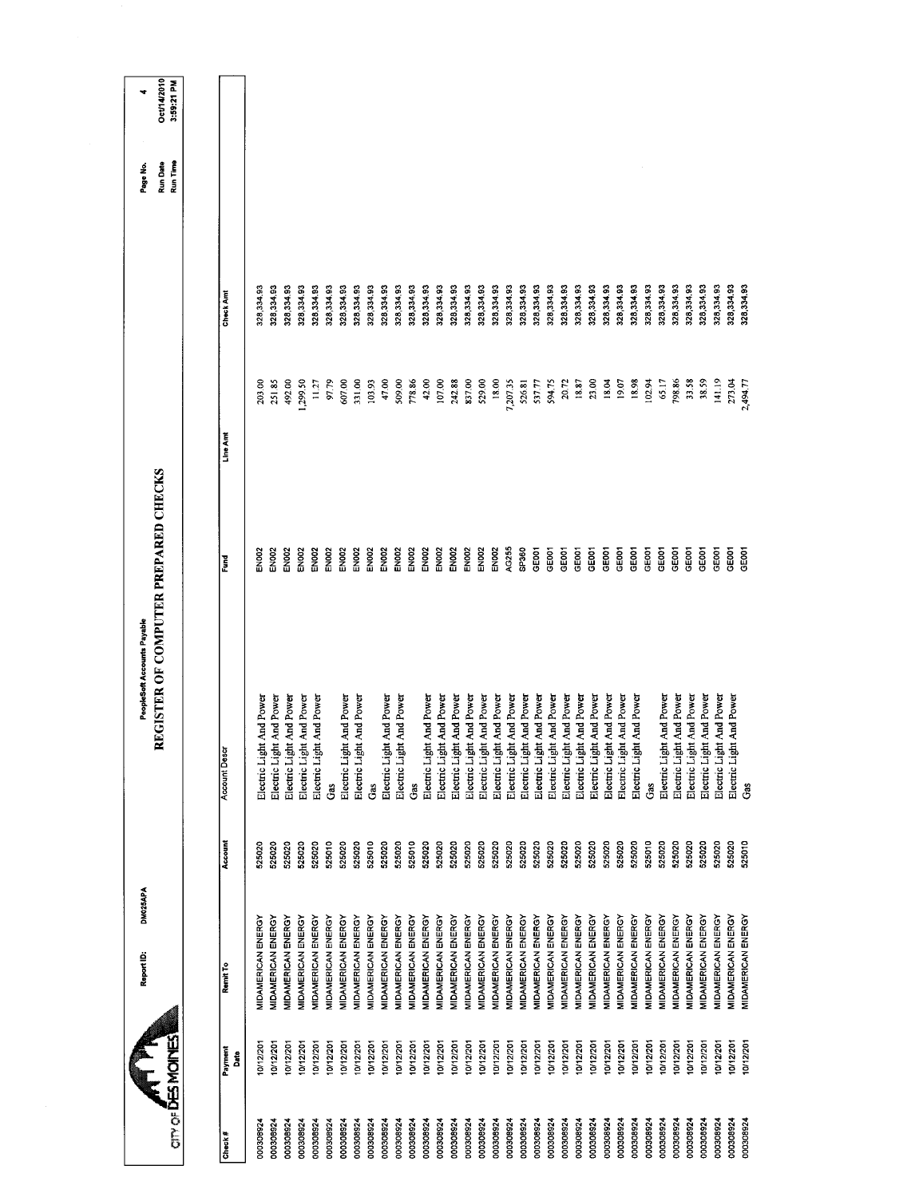|                          |                 | DM025APA<br>Report ID:    |         | PeopleSoft Accounts Payable          |                   |          |            | Page No.             | ÷                         |
|--------------------------|-----------------|---------------------------|---------|--------------------------------------|-------------------|----------|------------|----------------------|---------------------------|
| <b>OTY OF DES MOINES</b> |                 |                           |         | REGISTER OF COMPUTER PREPARED CHECKS |                   |          |            | Run Time<br>Run Date | Oct/14/2010<br>3:59:21 PM |
|                          |                 |                           |         |                                      |                   |          |            |                      |                           |
| Check#                   | Payment<br>Date | Remit To                  | Account | <b>Account Descr</b>                 | š                 | Line Am  | Check Amt  |                      |                           |
| 000308924                | 0/12/201        | MIDAMERICAN ENERGY        | 525020  | Electric Light And Power             | EN <sub>DOZ</sub> | 203.00   | 328,334.93 |                      |                           |
| 00030892                 | 10/12/201       | <b>MIDAMERICAN ENERGY</b> | 525020  | Electric Light And Power             | EN002             | 251.85   | 328,334,93 |                      |                           |
| 000308924                | 10/12/201       | MIDAMERICAN ENERGY        | 525020  | Electric Light And Power             | EN <sub>002</sub> | 492.00   | 328,334.93 |                      |                           |
| 000308924                | 0/12/201        | <b>MIDAMERICAN ENERGY</b> | 525020  | Electric Light And Power             | <b>EN002</b>      | ,299.50  | 328,334.93 |                      |                           |
| 000308924                | 0/12/201        | MIDAMERICAN ENERGY        | 525020  | Electric Light And Power             | EN002             | 11.27    | 328,334.93 |                      |                           |
| 000308924                | 0/12/201        | MIDAMERICAN ENERGY        | 525010  | Gas                                  | EN <sub>02</sub>  | 97.79    | 328,334.93 |                      |                           |
| 000308924                | 0/12/201        | <b>MIDAMERICAN ENERGY</b> | 525020  | Electric Light And Power             | EN002             | 607.00   | 328,334.93 |                      |                           |
| 000308924                | 0/12/201        | MIDAMERICAN ENERGY        | 525020  | Electric Light And Power             | EN <sub>002</sub> | 331.00   | 328,334.93 |                      |                           |
| 000308924                | 10/12/201       | <b>MIDAMERICAN ENERGY</b> | 525010  | Gas                                  | EN <sub>002</sub> | 103.93   | 328,334.93 |                      |                           |
| 000308924                | 10/12/201       | MIDAMERICAN ENERGY        | 525020  | Electric Light And Power             | EN <sub>002</sub> | 47.00    | 328,334.93 |                      |                           |
| 000308924                | 10/12/201       | MIDAMERICAN ENERGY        | 525020  | Electric Light And Power             | EN002             | 509.00   | 328,334.93 |                      |                           |
| 000308924                | 10/12/201       | <b>MIDAMERICAN ENERGY</b> | 525010  | Gas                                  | <b>EN002</b>      | 778.86   | 328,334.93 |                      |                           |
| 000308924                | 10/12/201       | MIDAMERICAN ENERGY        | 525020  | Electric Light And Power             | EN <sub>002</sub> | 42.00    | 328,334.93 |                      |                           |
| 000308924                | 10/12/201       | <b>MIDAMERICAN ENERGY</b> | 525020  | Electric Light And Power             | EN002             | 107.00   | 328,334.93 |                      |                           |
| 000308924                | 10/12/201       | <b>MIDAMERICAN ENERGY</b> | 525020  | Electric Light And Power             | EN002             | 242.88   | 328,334.93 |                      |                           |
| DOD308924                | 10/12/201       | MIDAMERICAN ENERGY        | 525020  | Electric Light And Power             | <b>EN002</b>      | 837.00   | 328,334.93 |                      |                           |
| 000308924                | 10/12/201       | MIDAMERICAN ENERGY        | 525020  | Electric Light And Power             | EN <sub>DO2</sub> | 529.00   | 328,334.93 |                      |                           |
| 000308924                | 10/12/201       | MIDAMERICAN ENERGY        | 525020  | Electric Light And Power             | EN <sub>002</sub> | 18.00    | 328,334.93 |                      |                           |
| 000308924                | 10/12/201       | MIDAMERICAN ENERGY        | 525020  | Electric Light And Power             | AG255             | 7,207.35 | 328,334.93 |                      |                           |
| 000308924                | 0/12/201        | <b>MIDAMERICAN ENERGY</b> | 525020  | Electric Light And Power             | SP360             | 526.81   | 328,334.93 |                      |                           |
| 000308924                | 10/12/201       | MIDAMERICAN ENERGY        | 525020  | Electric Light And Power             | <b>GEOOT</b>      | 537.77   | 328,334.93 |                      |                           |
| 000308924                | 0/12/201        | MIDAMERICAN ENERGY        | 525020  | Electric Light And Power             | <b>GEOOT</b>      | 594.75   | 328,334.93 |                      |                           |
| 000308924                | 10/12/201       | <b>MIDAMERICAN ENERGY</b> | 525020  | Electric Light And Power             | GE001             | 20.72    | 328,334.93 |                      |                           |
| 000308924                | 0/12/201        | MIDAMERICAN ENERGY        | 525020  | Electric Light And Power             | GE <sub>001</sub> | 18.87    | 328,334.93 |                      |                           |
| 000308924                | 10/12/201       | MIDAMERICAN ENERGY        | 525020  | Electric Light And Power             | <b>GEOOT</b>      | 23.00    | 328,334.93 |                      |                           |
| 000308924                | 10/12/201       | MIDAMERICAN ENERGY        | 525020  | Electric Light And Power             | GE001             | 18.04    | 328,334.93 |                      |                           |
| 000308924                | 10/12/201       | MIDAMERICAN ENERGY        | 525020  | Electric Light And Power             | GEOOT             | 19.07    | 328,334.93 |                      |                           |
| 000308924                | 10/12/201       | <b>MIDAMERICAN ENERGY</b> | 525020  | Electric Light And Power             | GE001             | 18.98    | 328,334 93 |                      |                           |
| 000308924                | 10/12/201       | MIDAMERICAN ENERGY        | 525010  | Gas                                  | GE <sub>001</sub> | 102.94   | 328,334.93 |                      |                           |
| 000308924                | 10/12/201       | <b>MIDAMERICAN ENERGY</b> | 525020  | Electric Light And Power             | GE001             | 65.17    | 328,334.93 |                      |                           |
| 000308924                | 0/12/201        | MIDAMERICAN ENERGY        | 525020  | Electric Light And Power             | GE001             | 798.86   | 328,334.93 |                      |                           |
| 000308924                | 10/12/201       | MIDAMERICAN ENERGY        | 525020  | Electric Light And Power             | GE001             | 33.58    | 328,33493  |                      |                           |
| 000308924                | 0/12/201        | MIDAMERICAN ENERGY        | 525020  | Electric Light And Power             | <b>GEOOT</b>      | 38.59    | 328,334 93 |                      |                           |
| 000308924                | 0/12/201        | MIDAMERICAN ENERGY        | 525020  | Electric Light And Power             | GEOOT             | 141.19   | 328,334.93 |                      |                           |
| 000308924                | 10/12/201       | MIDAMERICAN ENERGY        | 525020  | Electric Light And Power             | <b>GEOOT</b>      | 273,04   | 328,334.93 |                      |                           |
| 000308924                | 10/12/201       | MIDAMERICAN ENERGY        | 525010  | Gas                                  | <b>GEOOT</b>      | 2,494.77 | 328,334.93 |                      |                           |
|                          |                 |                           |         |                                      |                   |          |            |                      |                           |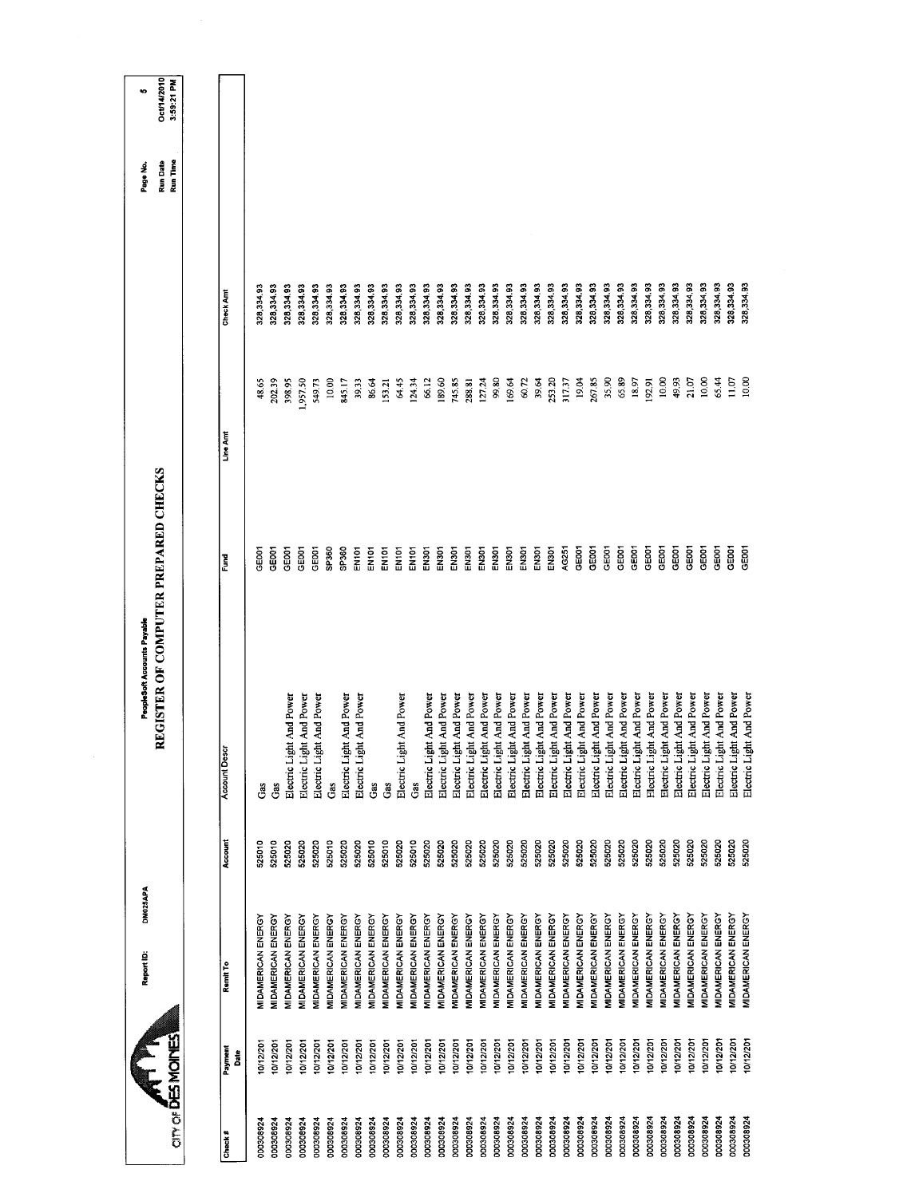|                                   |                 | DM025APA<br>Report ID:    |         | PeopleSoft Accounts Payable          |                   |         |            | Page No.             | to.                       |
|-----------------------------------|-----------------|---------------------------|---------|--------------------------------------|-------------------|---------|------------|----------------------|---------------------------|
| <b>AT PR</b><br>CITY OF BRINOINES |                 |                           |         | REGISTER OF COMPUTER PREPARED CHECKS |                   |         |            | Run Time<br>Run Date | Oct/14/2010<br>3:59:21 PM |
|                                   |                 |                           |         |                                      |                   |         |            |                      |                           |
| Check#                            | Payment<br>Date | Renti To                  | Account | <b>Account Descr</b>                 | Fund              | Line Am | Check Am   |                      |                           |
| 000308924                         | 10/12/201       | <b>MIDAMERICAN ENERGY</b> | 525010  | Gas                                  | CEOOT             | 48.65   | 328,334.93 |                      |                           |
| 000308924                         | 10/12/201       | MIDAMERICAN ENERGY        | 525010  | Ğ                                    | GE001             | 202.39  | 328,334.93 |                      |                           |
| 000308924                         | 10/12/201       | MIDAMERICAN ENERGY        | 525020  | Electric Light And Power             | GEOOT             | 398.95  | 328,334.93 |                      |                           |
| 000308924                         | 0/12/201        | <b>MIDAMERICAN ENERGY</b> | 525020  | Electric Light And Power             | GEOOT             | ,957.50 | 328,334.93 |                      |                           |
| 000308924                         | 10/12/201       | MIDAMERICAN ENERGY        | 525020  | Electric Light And Power             | GE001             | 549.73  | 328,334.93 |                      |                           |
| 000308924                         | 0/12/201        | MIDAMERICAN ENERGY        | 525010  | Gas                                  | SP360             | 10.00   | 328,334.93 |                      |                           |
| 000308924                         | 0/12/201        | <b>MIDAMERICAN ENERGY</b> | 525020  | Electric Light And Power             | SP <sub>360</sub> | 845.17  | 328,334.93 |                      |                           |
| 000308924                         | 10/12/201       | MIDAMERICAN ENERGY        | 525020  | at And Power<br>Electric Ligh        | EN101             | 39.33   | 328,334.93 |                      |                           |
| 000308924                         | 10/12/201       | MIDAMERICAN ENERGY        | 525010  | Gas                                  | EN101             | 86.64   | 328,334.93 |                      |                           |
| 000308924                         | 10/12/201       | MIDAMERICAN ENERGY        | 525010  | Gas                                  | EN101             | 153.21  | 328,334.93 |                      |                           |
| 000308924                         | 10/12/201       | MIDAMERICAN ENERGY        | 525020  | Electric Light And Power             | EN101             | 64.45   | 328,334,93 |                      |                           |
| 000308924                         | 10/12/201       | <b>MIDAMERICAN ENERGY</b> | 525010  | Gas                                  | EN101             | 124.34  | 328,334,93 |                      |                           |
| 000308924                         | 10/12/201       | MIDAMERICAN ENERGY        | 525020  | Electric Light And Power             | <b>EN301</b>      | 66.12   | 328,334.93 |                      |                           |
| 000308924                         | 0/12/201        | MIDAMERICAN ENERGY        | 525020  | Electric Light And Power             | EN301             | 189.60  | 328,334.93 |                      |                           |
| 000308924                         | 10/12/201       | MIDAMERICAN ENERGY        | 525020  | Electric Light And Power             | EN301             | 745.85  | 328,334.93 |                      |                           |
| 000308924                         | 0/12/201        | MIDAMERICAN ENERGY        | 525020  | Electric Light And Power             | EN301             | 288.81  | 328,33493  |                      |                           |
| 000308924                         | 10/12/201       | MIDAMERICAN ENERGY        | 525020  | Electric Light And Power             | EN301             | 127.24  | 328,334.93 |                      |                           |
| 000308924                         | 10/12/201       | MIDAMERICAN ENERGY        | 525020  | Electric Light And Power             | EN301             | 99.80   | 328,334.93 |                      |                           |
| 000308924                         | 0/12/201        | MIDAMERICAN ENERGY        | 525020  | Electric Light And Power             | EN301             | 169.64  | 328,334.93 |                      |                           |
| 000308924                         | 10/12/201       | <b>MIDAMERICAN ENERGY</b> | 525020  | Electric Light And Power             | EN301             | 60.72   | 328,334.93 |                      |                           |
| 000308924                         | 10/12/201       | <b>MIDAMERICAN ENERGY</b> | 525020  | Electric Light And Power             | EN <sub>301</sub> | 39.64   | 328,334.93 |                      |                           |
| 000308924                         | 10/12/201       | MIDAMERICAN ENERGY        | 525020  | Electric Light And Power             | EN301             | 253.20  | 328,334 93 |                      |                           |
| 000308924                         | 10/12/201       | MIDAMERICAN ENERGY        | 525020  | Electric Light And Power             | AG251             | 317.37  | 328,334.93 |                      |                           |
| 000308924                         | 10/12/201       | MIDAMERICAN ENERGY        | 525020  | Electric Light And Power             | GE001             | 19.04   | 328,334.93 |                      |                           |
| 000308924                         | 10/12/201       | MIDAMERICAN ENERGY        | 525020  | Electric Light And Power             | GEOCT             | 267.85  | 328,334.93 |                      |                           |
| 000308924                         | 0/12/201        | MIDAMERICAN ENERGY        | 525020  | Electric Light And Power             | GEOOT             | 35,90   | 328,334.93 |                      |                           |
| 000308924                         | 0/12/201        | MIDAMERICAN ENERGY        | 525020  | Electric Light And Power             | GEOOT             | 65.89   | 328,334.93 |                      |                           |
| 000308924                         | 0/12/201        | <b>VIDAMERICAN ENERGY</b> | 525020  | Electric Light And Power             | GE001             | 18.97   | 328,334.93 |                      |                           |
| 000308924                         | 10/12/201       | MIDAMERICAN ENERGY        | 525020  | Electric Light And Power             | GEOOT             | 192.91  | 328,334.93 |                      |                           |
| 000308924                         | 10/12/201       | MIDAMERICAN ENERGY        | 525020  | Electric Light And Power             | GEOOT             | 10.00   | 328,334.93 |                      |                           |
| 000308924                         | 0/12/201        | MIDAMERICAN ENERGY        | 525020  | Electric Light And Power             | GEOO1             | 49.93   | 328,334.93 |                      |                           |
| 000308924                         | 10/12/201       | MIDAMERICAN ENERGY        | 525020  | Electric Light And Power             | GE001             | 21.07   | 328,334.93 |                      |                           |
| 000308924                         | 10/12/201       | <b>MIDAMERICAN ENERGY</b> | 525020  | Electric Light And Power             | GEOO1             | 10.00   | 328,334,93 |                      |                           |
| 000308924                         | 10/12/201       | MIDAMERICAN ENERGY        | 525020  | Electric Light And Power             | GE001             | 65.44   | 328,334.93 |                      |                           |
| 000308924                         | 10/12/201       | MIDAMERICAN ENERGY        | 525020  | Electric Light And Power             | GEOOT             | 11.07   | 328,334.93 |                      |                           |
| 000308924                         | 10/12/201       | <b>MIDAMERICAN ENERGY</b> | 525020  | Electric Light And Power             | GEOOT             | 10.00   | 328,334.93 |                      |                           |
|                                   |                 |                           |         |                                      |                   |         |            |                      |                           |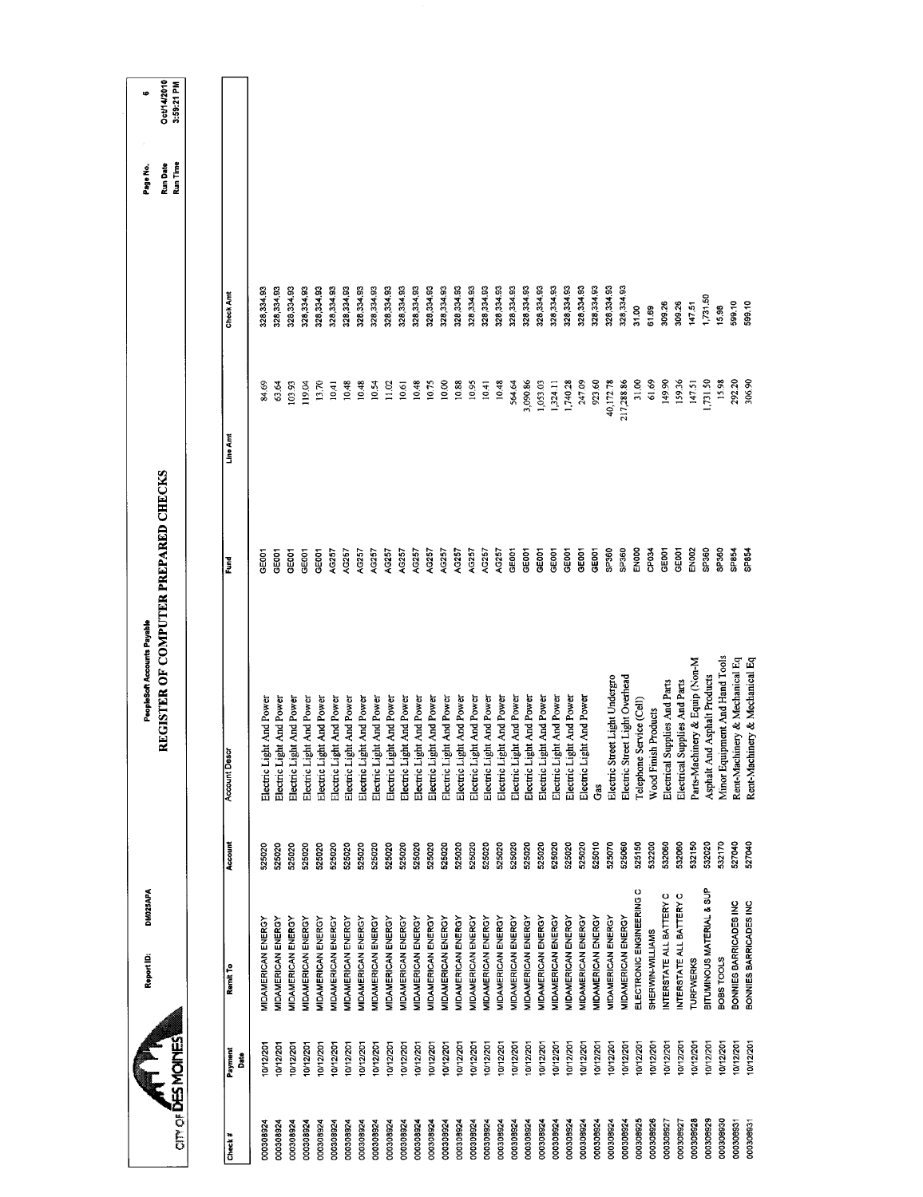|                           |                               | DM025APA<br>Report ID:            |         | REGISTER OF COMPUTER PREPARED CHECKS<br>PeopleSoft Accounts Payable |                    |            |            | Oct/14/2010<br><b>Run Date</b><br>Page No. | œ |
|---------------------------|-------------------------------|-----------------------------------|---------|---------------------------------------------------------------------|--------------------|------------|------------|--------------------------------------------|---|
| <b>OTHY OF DES MOINES</b> |                               |                                   |         |                                                                     |                    |            |            | 3:59:21 PM<br>Run Time                     |   |
|                           |                               |                                   |         |                                                                     |                    |            |            |                                            |   |
| Payment<br>Check#         | Remit To<br>Date              |                                   | Account | Account Desc                                                        | Fund               | Line Amt   | Check Amt  |                                            |   |
| 000308924                 | 0/12/20                       | MIDAMERICAN ENERGY                | 525020  | Electric Light And Power                                            | <b>GE001</b>       | 84.69      | 328,334.93 |                                            |   |
| 000308924                 | 0/12/201                      | <b>MIDAMERICAN ENERGY</b>         | 525020  | Electric Light And Power                                            | <b>GEOO1</b>       | 63.64      | 328,334.93 |                                            |   |
| 000308924                 | 10/12/201                     | MIDAMERICAN ENERGY                | 525020  | Electric Light And Power                                            | GE001              | 103.93     | 328,334.93 |                                            |   |
| 000308924                 | 10/12/201                     | MIDAMERICAN ENERGY                | 525020  | Electric Light And Power                                            | GEOOT              | 119.04     | 328,334.93 |                                            |   |
| 000308924                 | 10/12/201                     | MIDAMERICAN ENERGY                | 525020  | Electric Light And Power                                            | GE001              | 13.70      | 328,334.93 |                                            |   |
| 000308924                 | 10/12/201                     | MIDAMERICAN ENERGY                | 525020  | Electric Light And Power                                            | AG257              | 10.41      | 328,334.93 |                                            |   |
| 000308924                 | 10/12/201                     | MIDAMERICAN ENERGY                | 525020  | Electric Light And Power                                            | AG257              | 10,48      | 328,334.93 |                                            |   |
| 000308924                 | 10/12/201                     | MIDAMERICAN ENERGY                | 525020  | Electric Light And Power                                            | AG257              | 10.48      | 328,334.93 |                                            |   |
| 000308924                 | 10/12/201                     | MIDAMERICAN ENERGY                | 525020  | Electric Light And Power                                            | AG257              | 10.54      | 328,334.93 |                                            |   |
| 000308924                 | 0/12/201                      | MIDAMERICAN ENERGY                | 525020  | Electric Light And Power                                            | AG257              | 11.02      | 328,334.93 |                                            |   |
| 000308924                 | 10/12/201                     | MIDAMERICAN ENERGY                | 525020  | Electric Light And Power                                            | AG257              | 10.61      | 328,334.93 |                                            |   |
| 000308924                 | 10/12/201                     | <b>MIDAMERICAN ENERGY</b>         | 525020  | Electric Light And Power                                            | AG257              | 10.48      | 328,334.93 |                                            |   |
| 000308924                 | 10/12/201                     | MIDAMERICAN ENERGY                | 525020  | Electric Light And Power                                            | AG257              | 10.75      | 328,334.93 |                                            |   |
| 000308924                 | 10/12/201                     | MIDAMERICAN ENERGY                | 525020  | Electric Light And Power                                            | AG257              | 10.00      | 328,334.93 |                                            |   |
| 000308924                 | 10/12/201                     | <b>MIDAMERICAN ENERGY</b>         | 525020  | Electric Light And Power                                            | AG257              | 10.88      | 328,334.93 |                                            |   |
| 000308924                 | 10/12/201                     | MIDAMERICAN ENERGY                | 525020  | Electric Light And Power                                            | AG257              | 10.95      | 328,334 93 |                                            |   |
| 000308924                 | 10/12/201                     | MIDAMERICAN ENERGY                | 525020  | Electric Light And Power                                            | AG257              | 10.41      | 328,334.93 |                                            |   |
| 000308924                 | 0/12/201                      | <b>MIDAMERICAN ENERGY</b>         | 525020  | Electric Light And Power                                            | AG257              | 10.48      | 328,334.93 |                                            |   |
| 000308924                 | 10/12/201                     | MIDAMERICAN ENERGY                | 525020  | Electric Light And Power                                            | GE001              | 564.64     | 328,334.93 |                                            |   |
| 000308924                 | 0/12/201                      | MIDAMERICAN ENERGY                | 525020  | Electric Light And Power                                            | GE001              | 3,090.86   | 328,334.93 |                                            |   |
| 000308924                 | 10/12/201                     | <b>MIDAMERICAN ENERGY</b>         | 525020  | Electric Light And Power                                            | GE001              | 1,053.03   | 328,334.93 |                                            |   |
| 000308924                 | 10/12/201                     | MIDAMERICAN ENERGY                | 525020  | Electric Light And Power                                            | GE001              | 1,324.11   | 328,334.93 |                                            |   |
| 000308924                 | 10/12/201                     | <b>MIDAMERICAN ENERGY</b>         | 525020  | Electric Light And Power                                            | GE001              | 1,740.28   | 328,334.93 |                                            |   |
| 000308924                 | 10/12/201                     | MIDAMERICAN ENERGY                | 525020  | Electric Light And Power                                            | GE001              | 247.09     | 328,334.93 |                                            |   |
| 000308924                 | 10/12/201                     | MIDAMERICAN ENERGY                | 525010  | Ğ                                                                   | GE001              | 923.60     | 328,334.93 |                                            |   |
| 000308924                 | 10/12/201                     | MIDAMERICAN ENERGY                | 525070  | Electric Street Light Undergro                                      | SP360              | 40,172.78  | 328,33493  |                                            |   |
| 000308924                 | 0/12/201                      | <b>MIDAMERICAN ENERGY</b>         | 525060  | Electric Street Light Overhead                                      | O <sub>96d</sub> S | 217,288.86 | 328,334.93 |                                            |   |
| 000308925                 | 10/12/201                     | $\circ$<br>ELECTRONIC ENGINEERING | 525150  | Telephone Service (Cell)                                            | ENOOO              | 31.00      | 31.00      |                                            |   |
| 000308926                 | 10/12/201                     | SHERWIN-WILLIAMS                  | 532200  | Wood Finish Products                                                | CP034              | 61.69      | 61.69      |                                            |   |
| 000308927                 | 10/12/201                     | NTERSTATE ALL BATTERY C           | 532060  | Electrical Supplies And Parts                                       | GE001              | 149.90     | 309.26     |                                            |   |
| 000308927                 | 10/12/201                     | NTERSTATE ALL BATTERY C           | 532060  | Electrical Supplies And Parts                                       | GEOOT              | 159.36     | 309.26     |                                            |   |
| 000308928                 | <b>TURFWERKS</b><br>10/12/201 |                                   | 532150  | Parts-Machinery & Equip (Non-M                                      | EN <sub>002</sub>  | 147.51     | 147.51     |                                            |   |
| 000308929                 | 10/12/201                     | BITUMINOUS MATERIAL & SUP         | 532020  | Asphalt And Asphalt Products                                        | SP360              | 1,731.50   | 1,731.50   |                                            |   |
| 000308930                 | BOBS TOOLS<br>0/12/201        |                                   | 532170  | Minor Equipment And Hand Tools                                      | SP360              | 15.98      | 15.98      |                                            |   |
| 000308931                 | 0/12/201                      | BONNIES BARRICADES INC            | 527040  | Rent-Machinery & Mechanical Eq                                      | SP854              | 292.20     | 599.10     |                                            |   |
| 000308931                 | 0/12/201                      | BONNIES BARRICADES INC            | 527040  | Rent-Machinery & Mechanical Eq                                      | <b>PEBAS</b>       | 306.90     | 599,10     |                                            |   |
|                           |                               |                                   |         |                                                                     |                    |            |            |                                            |   |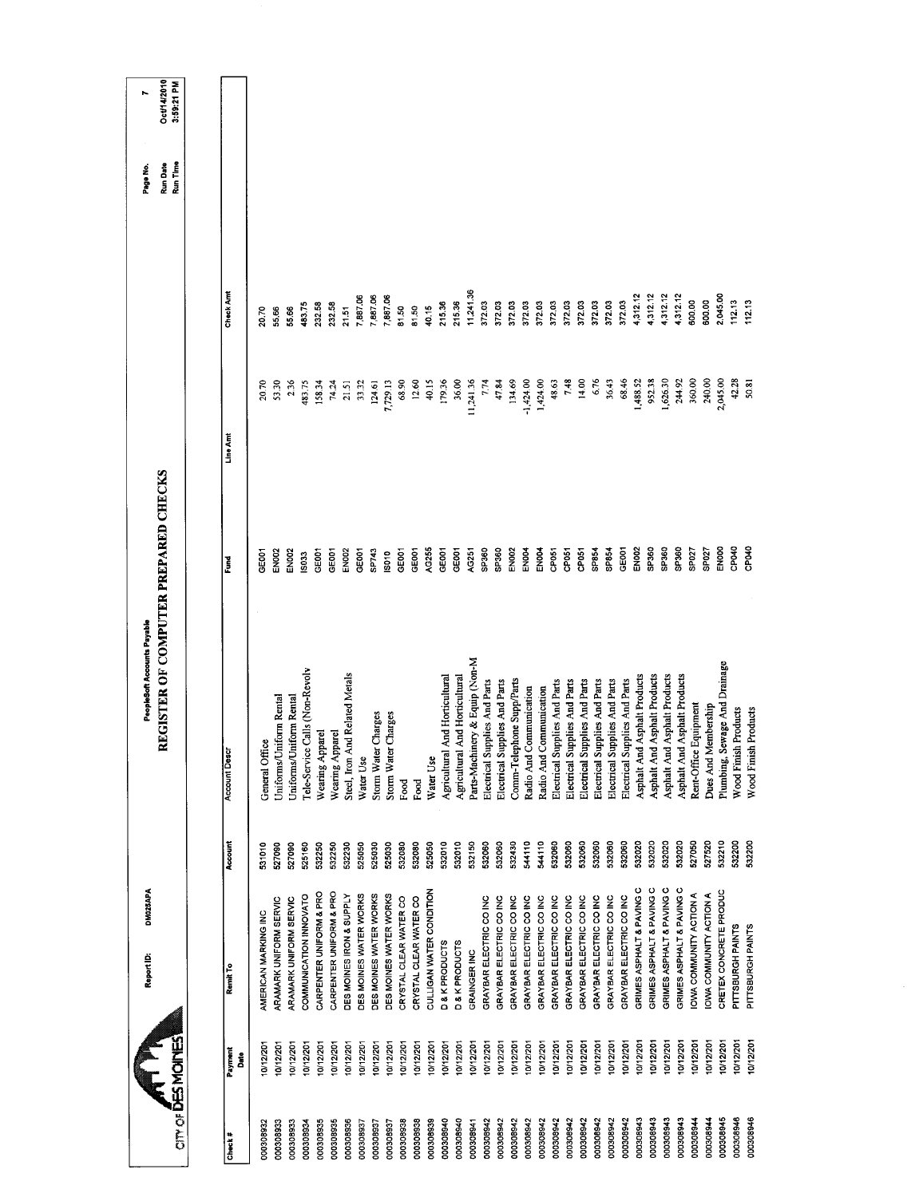| <b>CITY OF DES MOINES</b> | DM025APA<br>Report ID:    |         | REGISTER OF COMPUTER PREPARED CHECKS<br>PeopleSoft Accounts Payable |                   |             |           | Run Time<br>Run Date<br>Page No. | Oct/14/2010<br>3:59:21 PM<br>r |
|---------------------------|---------------------------|---------|---------------------------------------------------------------------|-------------------|-------------|-----------|----------------------------------|--------------------------------|
|                           |                           |         |                                                                     |                   |             |           |                                  |                                |
| Payment<br>Date<br>Check# | Remit To                  | Account | <b>Account Descr</b>                                                | Fund              | Line Arrt   | Check Amt |                                  |                                |
| 0/12/201<br>000308932     | AMERICAN MARKING INC      | 531010  | General Office                                                      | <b>GEOO1</b>      | 20.70       | 20,70     |                                  |                                |
| 0/12/201<br>000308933     | ARAMARK UNIFORM SERVIC    | 527090  | Jniforms/Uniform Rental                                             | EN002             | 53.30       | 55.66     |                                  |                                |
| 10/12/201<br>000308933    | ARAMARK UNIFORM SERVIC    | 527090  | Uniforms/Uniform Rental                                             | EN <sub>002</sub> | 236         | 55.66     |                                  |                                |
| 10/12/201<br>000308934    | COMMUNICATION INNOVATO    | 525160  | Tele-Service Calls (Non-Revolv                                      | \$033             | 483.75      | 483.75    |                                  |                                |
| 10/12/201<br>000308935    | CARPENTER UNIFORM & PRO   | 532250  | Wearing Apparel                                                     | GE001             | 158.34      | 232.58    |                                  |                                |
| 10/12/201<br>000308935    | CARPENTER UNIFORM & PRO   | 532250  | Wearing Apparel                                                     | GE001             | 74.24       | 232.58    |                                  |                                |
| 10/12/201<br>000308936    | DES MOINES IRON & SUPPLY  | 532230  | Steel, Iron And Related Metals                                      | EN <sub>002</sub> | 21.51       | 21.51     |                                  |                                |
| 10/12/201<br>000308937    | DES MOINES WATER WORKS    | 525050  | Water Use                                                           | GE001             | 33.32       | 7,887.06  |                                  |                                |
| 10/12/201<br>000308937    | DES MOINES WATER WORKS    | 525030  | Charges<br><b>Storm Water</b>                                       | SP743             | 124.61      | 7,887.06  |                                  |                                |
| 10/12/201<br>000308937    | DES MOINES WATER WORKS    | 525030  | <b>Charges</b><br><b>Storm Water</b>                                | SD10              | 7,729.13    | 7,887.06  |                                  |                                |
| 10/12/201<br>000308938    | CRYSTAL CLEAR WATER CO    | 532080  | $_{\rm Food}$                                                       | GE001             | 68.90       | 81,50     |                                  |                                |
| 10/12/201<br>000308938    | CRYSTAL CLEAR WATER CO    | 532080  | Food                                                                | GE001             | 12.60       | 81.50     |                                  |                                |
| 0/12/201<br>000308939     | CULLIGAN WATER CONDITION  | 525050  | Water Use                                                           | AG255             | 40.15       | 40.15     |                                  |                                |
| 10/12/201<br>000308940    | <b>D&amp;KPRODUCTS</b>    | 532010  | And Horticultural<br>Agricultural                                   | GE001             | 179.36      | 215.36    |                                  |                                |
| 0/12/201<br>000308940     | <b>D&amp;KPRODUCTS</b>    | 532010  | And Horticultural<br>Agricultural                                   | GE001             | 36.00       | 215.36    |                                  |                                |
| 10/12/201<br>000308941    | GRAINGER INC              | 532150  | Parts-Machinery & Equip (Non-M                                      | AG251             | 11,241.36   | 11,241.36 |                                  |                                |
| 0/12/201<br>000308942     | GRAYBAR ELECTRIC CO INC   | 532060  | Electrical Supplies And Parts                                       | SP360             | 7.74        | 372.03    |                                  |                                |
| 10/12/201<br>000308942    | GRAYBAR ELECTRIC CO INC   | 532060  | Electrical Supplies And Parts                                       | SP360             | 47.84       | 372.03    |                                  |                                |
| 10/12/201<br>000308942    | GRAYBAR ELECTRIC CO INC   | 532430  | Comm-Telephone Supp/Parts                                           | <b>EN002</b>      | 134.69      | 372.03    |                                  |                                |
| 10/12/201<br>000308942    | GRAYBAR ELECTRIC CO INC   | 544110  | Radio And Communication                                             | EN004             | $-1,424.00$ | 372.03    |                                  |                                |
| 10/12/201<br>000308942    | GRAYBAR ELECTRIC CO INC   | 544110  | Radio And Communication                                             | EN <sub>004</sub> | 1,424.00    | 372.03    |                                  |                                |
| 10/12/201<br>000308942    | GRAYBAR ELECTRIC CO INC   | 532060  | Electrical Supplies And Parts                                       | CP051             | 48.63       | 37203     |                                  |                                |
| 0/12/201<br>000308942     | GRAYBAR ELECTRIC CO INC   | 532060  | Electrical Supplies And Parts                                       | GP <sub>051</sub> | 7.48        | 372.03    |                                  |                                |
| 10/12/201<br>000308942    | GRAYBAR ELECTRIC CO INC   | 532060  | Electrical Supplies And Parts                                       | CP051             | 14.00       | 372.03    |                                  |                                |
| 0/12/201<br>000308942     | GRAYBAR ELECTRIC CO INC   | 532060  | Electrical Supplies And Parts                                       | <b>SP854</b>      | 6.76        | 372.03    |                                  |                                |
| 10/12/201<br>000308942    | GRAYBAR ELECTRIC CO INC   | 532060  | Electrical Supplies And Parts                                       | SP854             | 36.43       | 372.03    |                                  |                                |
| 10/12/201<br>000308942    | GRAYBAR ELECTRIC CO INC   | 532060  | Electrical Supplies And Parts                                       | GEOOT             | 68.46       | 372.03    |                                  |                                |
| 10/12/201<br>000308943    | GRIMES ASPHALT & PAVING C | 532020  | Asphalt And Asphalt Products                                        | <b>EN002</b>      | 1,488.52    | 4,312.12  |                                  |                                |
| 10/12/201<br>000308943    | GRIMES ASPHALT & PAVING C | 532020  | Asphalt Products<br>Asphalt And                                     | SP360             | 952.38      | 4,312.12  |                                  |                                |
| 10/12/201<br>000308943    | GRIMES ASPHALT & PAVING C | 532020  | Asphalt And Asphalt Products                                        | SP360             | 1,626.30    | 4,312.12  |                                  |                                |
| 0/12/201<br>000308943     | GRIMES ASPHALT & PAVING C | 532020  | Asphalt And Asphalt Products                                        | SP <sub>360</sub> | 244.92      | 4,312.12  |                                  |                                |
| 10/12/201<br>000308944    | IOWA COMMUNITY ACTION A   | 527050  | Rent-Office Equipment                                               | SPO <sub>27</sub> | 360.00      | 600,00    |                                  |                                |
| 0/12/201<br>000308944     | IOWA COMMUNITY ACTION A   | 527520  | Dues And Membership                                                 | SPO <sub>27</sub> | 240.00      | 600.00    |                                  |                                |
| 10/12/201<br>000308945    | CRETEX CONCRETE PRODUC    | 532210  | Plumbing, Sewage And Drainage                                       | ENOOO             | 2,045.00    | 2,045.00  |                                  |                                |
| 10/12/201<br>000308946    | PITTSBURGH PAINTS         | 532200  | Wood Finish Products                                                | <b>DPO40</b>      | 42.28       | 112.13    |                                  |                                |
| 10/12/201<br>000308946    | PITTSBURGH PAINTS         | 532200  | Wood Finish Products                                                | <b>OPORO</b>      | 50.81       | 112.13    |                                  |                                |
|                           |                           |         |                                                                     |                   |             |           |                                  |                                |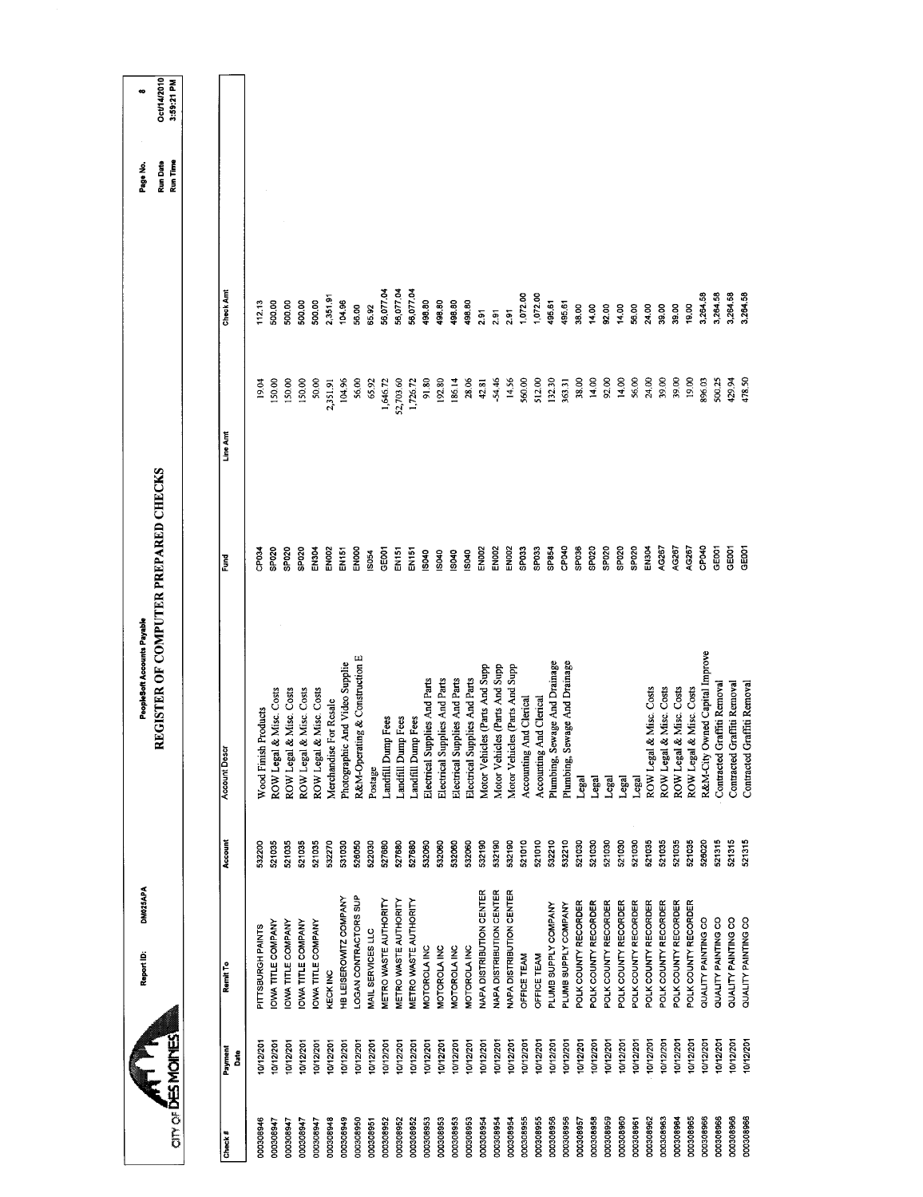|                           |              | DM025APA<br>Report ID:    |         | REGISTER OF COMPUTER PREPARED CHECKS<br>PeopleSoft Accounts Payable |                   |           |           | Run Date<br>Page No. | Oct/14/2010 |
|---------------------------|--------------|---------------------------|---------|---------------------------------------------------------------------|-------------------|-----------|-----------|----------------------|-------------|
| <b>CITY OF DES MOINES</b> |              |                           |         |                                                                     |                   |           |           | Run Time             | 3:59:21 PM  |
|                           |              |                           |         |                                                                     |                   |           |           |                      |             |
| Check#                    | Payment<br>å | Remit To                  | Account | <b>Account Descr</b>                                                | š                 | Line Amt  | Check Amt |                      |             |
|                           |              |                           |         |                                                                     |                   |           |           |                      |             |
| 000308946                 | 0/12/201     | PITTSBURGH PAINTS         | 532200  | Wood Finish Products                                                | <b>PEO34</b>      | 19.04     | 112.13    |                      |             |
| 000308947                 | 10/12/201    | <b>OWA TITLE COMPANY</b>  | 521035  | & Misc. Costs<br>ROW Legal                                          | Sbds <sup></sup>  | 150.00    | 500.00    |                      |             |
| 000308947                 | 10/12/201    | <b>OWA TITLE COMPANY</b>  | 521035  | & Misc. Costs<br>ROW Legal                                          | <b>SPO20</b>      | 150.00    | 500.00    |                      |             |
| 000308947                 | 10/12/201    | <b>OWA TITLE COMPANY</b>  | 521035  | & Misc. Costs<br>ROW Legal                                          | <b>SPO20</b>      | 150.00    | 500.00    |                      |             |
| 000308947                 | 10/12/201    | <b>IOWA TITLE COMPANY</b> | 521035  | & Misc. Costs<br>ROW Legal                                          | EN <sub>304</sub> | 50.00     | 500.00    |                      |             |
| 000308948                 | 10/12/201    | KECK INC                  | 532270  | Merchandise For Resale                                              | EN002             | 2,351.91  | 2,351.91  |                      |             |
| 000308949                 | 10/12/201    | HB LEISEROWITZ COMPANY    | 531030  | Photographic And Video Supplie                                      | EN151             | 104.96    | 104.96    |                      |             |
| 000308950                 | 10/12/201    | LOGAN CONTRACTORS SUP     | 526050  | R&M-Operating & Construction E                                      | ENOO              | 56.00     | 56.00     |                      |             |
| 000308951                 | 10/12/201    | MAIL SERVICES LLC         | 522030  | Postage                                                             | S054              | 65.92     | 6592      |                      |             |
| 000308952                 | 10/12/201    | METRO WASTE AUTHORITY     | 527680  | Landfill Dump Fees                                                  | <b>GEOOT</b>      | 1,646.72  | 56,077.04 |                      |             |
| 000308952                 | 10/12/201    | METRO WASTE AUTHORITY     | 527680  | Landfill Dump Fees                                                  | EN <sub>151</sub> | 52,703.60 | 56,077.04 |                      |             |
| 000308952                 | 10/12/201    | METRO WASTE AUTHORITY     | 527680  | Landfill Dump Fees                                                  | EN151             | 1,726.72  | 56,077.04 |                      |             |
| 000308953                 | 10/12/201    | MOTOROLA INC              | 532060  | Electrical Supplies And Parts                                       | IS040             | 91.80     | 498.80    |                      |             |
| 000308953                 | 10/12/201    | MOTOROLA INC              | 532060  | Electrical Supplies And Parts                                       | S040              | 192.80    | 498.80    |                      |             |
| 000308953                 | 10/12/201    | MOTOROLA INC              | 532060  | Electrical Supplies And Parts                                       | S040              | 186.14    | 498.80    |                      |             |
| 000308953                 | 10/12/201    | MOTOROLAINC               | 532060  | Electrical Supplies And Parts                                       | IS040             | 28.06     | 498.80    |                      |             |
| 000308954                 | 10/12/201    | NAPA DISTRIBUTION CENTER  | 532190  | Motor Vehicles (Parts And Supp                                      | EN002             | 42.81     | 2.91      |                      |             |
| 000308954                 | 10/12/201    | NAPA DISTRIBUTION CENTER  | 532190  | Motor Vehicles (Parts And Supp                                      | EN002             | 54.46     | 2.91      |                      |             |
| 000308954                 | 10/12/201    | NAPA DISTRIBUTION CENTER  | 532190  | Motor Vehicles (Parts And Supp                                      | EN002             | 14.56     | 2.91      |                      |             |
| 000308955                 | 10/12/201    | OFFICE TEAM               | 521010  | Accounting And Clerical                                             | SPO33             | 560.00    | 1,072.00  |                      |             |
| 000308955                 | 10/12/201    | OFFICE TEAM               | 521010  | Accounting And Clerical                                             | SP033             | 512.00    | 1,072.00  |                      |             |
| 000308956                 | 10/12/201    | PLUMB SUPPLY COMPANY      | 532210  | Plumbing, Sewage And Drainage                                       | SP854             | 132.30    | 495.61    |                      |             |
| 000308956                 | 10/12/201    | PLUMB SUPPLY COMPANY      | 532210  | Plumbing, Sewage And Drainage                                       | CPO40             | 363.31    | 495.61    |                      |             |
| 000308957                 | 0/12/201     | POLK COUNTY RECORDER      | 521030  | Legal                                                               | SPO36             | 38.00     | 38.00     |                      |             |
| 000308958                 | 10/12/201    | POLK COUNTY RECORDER      | 521030  | Legal                                                               | SP020             | 14.00     | 14.00     |                      |             |
| 000308959                 | 10/12/201    | POLK COUNTY RECORDER      | 521030  | Legal                                                               | SP020             | 92.00     | 92.00     |                      |             |
| 000308960                 | 10/12/201    | POLK COUNTY RECORDER      | 521030  | Legal                                                               | SP020             | 14.00     | 14.00     |                      |             |
| 000308961                 | 10/12/201    | POLK COUNTY RECORDER      | 521030  | Legal                                                               | SP020             | 56.00     | 56.00     |                      |             |
| 000308962                 | 10/12/201    | POLK COUNTY RECORDER      | 521035  | & Misc. Costs<br>ROW Legal                                          | <b>EN304</b>      | 24.00     | 24.00     |                      |             |
| 000308963                 | 10/12/201    | POLK COUNTY RECORDER      | 521035  | & Misc. Costs<br>ROW Legal                                          | AG267             | 39.00     | 39.00     |                      |             |
| 000308964                 | 10/12/201    | POLK COUNTY RECORDER      | 521035  | & Misc. Costs<br>ROW Legal                                          | AG267             | 39.00     | 39.00     |                      |             |
| 000308965                 | 10/12/201    | POLK COUNTY RECORDER      | 521035  | & Misc. Costs<br><b>ROW</b> Legal                                   | AC267             | 19.00     | 19.00     |                      |             |
| 000308966                 | 10/12/201    | QUALITY PAINTING CO       | 526020  | R&M-City Owned Capital Improve                                      | CP040             | 896.03    | 3,264,58  |                      |             |
| 000308966                 | 10/12/201    | QUALITY PAINTING CO       | 521315  | Contracted Graffiti Removal                                         | GEOO1             | 500.25    | 3,264.58  |                      |             |
| 000308966                 | 0/12/201     | QUALITY PAINTING CO       | 521315  | Contracted Graffiti Removal                                         | GE001             | 429.94    | 3,264.58  |                      |             |
| 000308966                 | 10/12/201    | QUALITY PAINTING CO       | 521315  | Contracted Graffiti Removal                                         | GEOOT             | 478.50    | 3,264.58  |                      |             |
|                           |              |                           |         |                                                                     |                   |           |           |                      |             |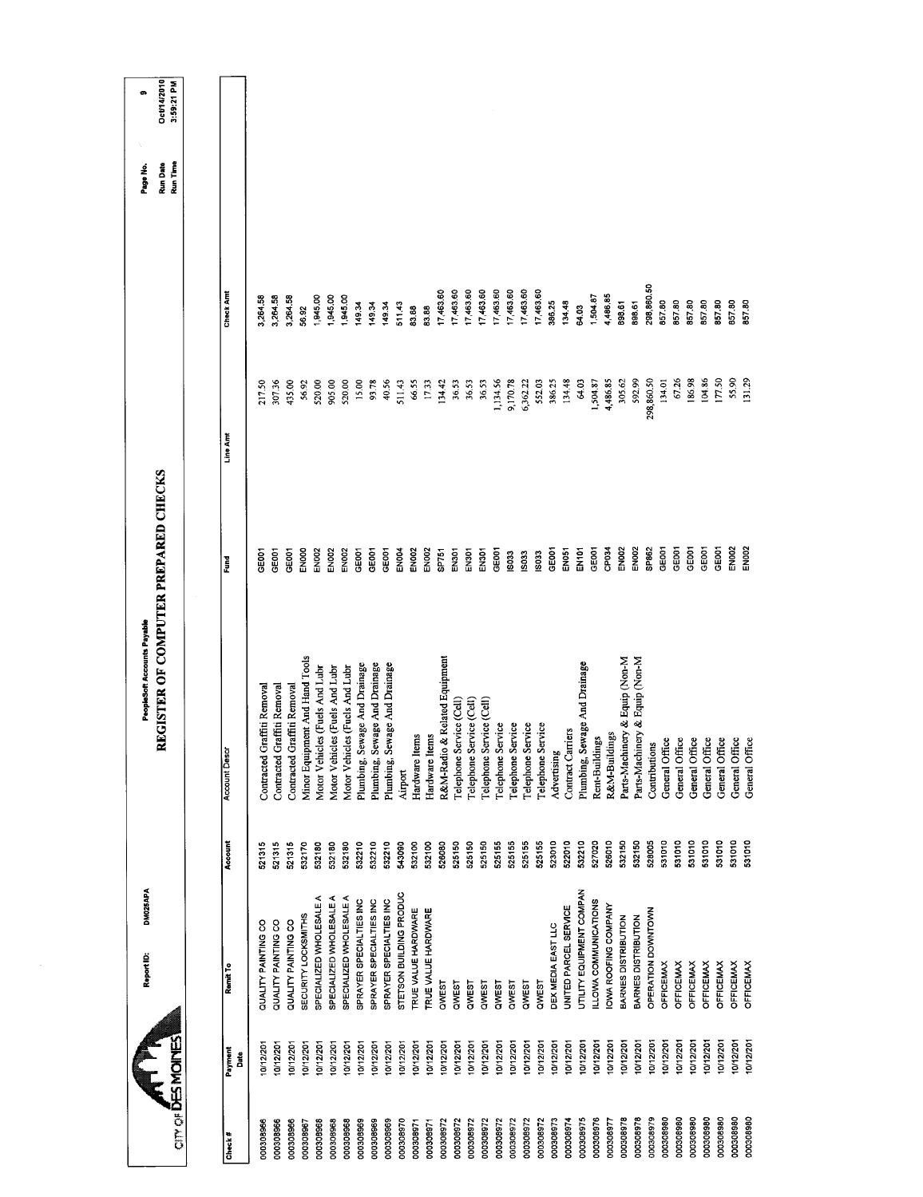| <b>CITY OF DES MOINES</b> |                 | DM025APA<br>Report ID:     |         | REGISTER OF COMPUTER PREPARED CHECKS<br>PeopleSoft Accounts Payable |                   |            |            | Run Time<br><b>Run Date</b><br>Page No. | Oct/14/2010<br>3:59:21 PM<br>œ |
|---------------------------|-----------------|----------------------------|---------|---------------------------------------------------------------------|-------------------|------------|------------|-----------------------------------------|--------------------------------|
|                           |                 |                            |         |                                                                     |                   |            |            |                                         |                                |
| Check#                    | Payment<br>Date | Remit To                   | Account | <b>Account Descr</b>                                                | Fund              | Line Amt   | Check Amt  |                                         |                                |
| 000308966                 | 10/12/201       | QUALITY PAINTING CO        | 521315  | Graffiti Removal<br>Contracted                                      | <b>CEDOT</b>      | 217.50     | 3,264.58   |                                         |                                |
| 000308966                 | 0/12/201        | QUALITY PAINTING CO        | 521315  | Graffiti Removal<br>Contracted                                      | GEOO1             | 307.36     | 3,264.58   |                                         |                                |
| 000308966                 | 0/12/201        | QUALITY PAINTING CO        | 521315  | Graffiti Removal<br>Contracted                                      | GE001             | 435.00     | 3,264.58   |                                         |                                |
| 000308967                 | 0/12/201        | <b>SECURITY LOCKSMITHS</b> | 532170  | Minor Equipment And Hand Tools                                      | EN000             | 56.92      | 56.92      |                                         |                                |
| 000308968                 | 10/12/201       | SPECIALIZED WHOLESALE A    | 532180  | Motor Vehicles (Fuels And Lubr                                      | EN <sub>DO2</sub> | 520.00     | .945.00    |                                         |                                |
| 000308968                 | 10/12/201       | SPECIALIZED WHOLESALE A    | 532180  | Motor Vehicles (Fuels And Lubr                                      | EN <sub>002</sub> | 905.00     | 1,945.00   |                                         |                                |
| 000308968                 | 0/12/201        | SPECIALIZED WHOLESALE A    | 532180  | Motor Vehicles (Fuels And Lubr                                      | <b>EN002</b>      | 520,00     | 1,945.00   |                                         |                                |
| 000308969                 | 0/12/201        | SPRAYER SPECIALTIES INC    | 532210  | Plumbing, Sewage And Drainage                                       | GE001             | 15.00      | 149.34     |                                         |                                |
| 000308969                 | 10/12/201       | SPRAYER SPECIALTIES INC    | 532210  | Plumbing, Sewage And Drainage                                       | GEOOT             | 93.78      | 149.34     |                                         |                                |
| 000308969                 | 10/12/201       | SPRAYER SPECIALTIES INC    | 532210  | Sewage And Drainage<br>Plumbing,                                    | GEOD1             | 40.56      | 149.34     |                                         |                                |
| 000308970                 | 10/12/201       | STETSON BUILDING PRODUC    | 543090  | Airport                                                             | <b>EN004</b>      | 51143      | 511.43     |                                         |                                |
| 000308971                 | 10/12/201       | TRUE VALUE HARDWARE        | 532100  | ltems<br>Hardware I                                                 | <b>EN002</b>      | 66.55      | 83,88      |                                         |                                |
| 000308971                 | 10/12/201       | TRUE VALUE HARDWARE        | 532100  | Hardware Items                                                      | <b>EN002</b>      | 17.33      | 83.88      |                                         |                                |
| 000308972                 | 10/12/201       | QWEST                      | 526080  | R&M-Radio & Related Equipment                                       | <b>SP751</b>      | 134.42     | 17,463.60  |                                         |                                |
| 000308972                 | 10/12/201       | QWEST                      | 525150  | Telephone Service (Cell)                                            | EN301             | 36.53      | 17,463.60  |                                         |                                |
| 000308972                 | 0/12/201        | QWEST                      | 525150  | Service (Cell)<br>Telephone                                         | EN301             | 36.53      | 17,463.60  |                                         |                                |
| 000308972                 | 10/12/201       | QWEST                      | 525150  | Telephone Service (Cell)                                            | EN301             | 36.53      | 17,463.60  |                                         |                                |
| 000308972                 | 10/12/201       | QWEST                      | 525155  | Telephone Service                                                   | GE001             | 1,134.56   | 17,463.60  |                                         |                                |
| 000308972                 | 10/12/201       | QWEST                      | 525155  | Telephone Service                                                   | IS033             | 9,170.78   | 17,463.60  |                                         |                                |
| 000308972                 | 10/12/201       | QWEST                      | 525155  | Telephone Service                                                   | <b>ISO33</b>      | 6,362.22   | 17,463.60  |                                         |                                |
| 000308972                 | 0/12/201        | QWES1                      | 525155  | Telephone Service                                                   | IS033             | 552.03     | 17,463.60  |                                         |                                |
| 000308973                 | 10/12/201       | DEX MEDIA EAST LLC         | 523010  | Advertising                                                         | GE001             | 386.25     | 386.25     |                                         |                                |
| 000308974                 | 10/12/201       | UNITED PARCEL SERVICE      | 522010  | Contract Carriers                                                   | <b>EN051</b>      | 134.48     | 134.48     |                                         |                                |
| 000308975                 | 10/12/201       | UTILITY EQUIPMENT COMPAN   | 532210  | Sewage And Drainage<br>Plumbing,                                    | EN101             | 64.03      | 64.03      |                                         |                                |
| 000308976                 | 10/12/201       | LLOWA COMMUNICATIONS       | 527020  | Rent-Buildings                                                      | <b>GEOOT</b>      | 1,504.87   | 1,504.87   |                                         |                                |
| 000308977                 | 0/12/201        | OWA ROOFING COMPANY        | 526010  | R&M-Buildings                                                       | CP034             | 4,486.85   | 4,486.85   |                                         |                                |
| 000308978                 | 10/12/201       | BARNES DISTRIBUTION        | 532150  | Parts-Machinery & Equip (Non-M                                      | <b>EN002</b>      | 305.62     | 898.61     |                                         |                                |
| 000308978                 | 10/12/201       | BARNES DISTRIBUTION        | 532150  | Parts-Machinery & Equip (Non-M                                      | EN002             | 592.99     | 898.61     |                                         |                                |
| 000308979                 | 10/12/201       | OPERATION DOWNTOWN         | 528005  | Contributions                                                       | SP862             | 298,860.50 | 298,860.50 |                                         |                                |
| 000308980                 | 10/12/201       | <b>OFFICEMAX</b>           | 531010  | General Office                                                      | GE001             | 134.01     | 857.80     |                                         |                                |
| 000308980                 | 0/12/201        | OFFICEMAX                  | 531010  | General Office                                                      | GE001             | 6726       | 857.80     |                                         |                                |
| 000308980                 | 10/12/201       | <b>OFFICEMAX</b>           | 531010  | General Office                                                      | GE001             | 186.98     | 857.80     |                                         |                                |
| 000308980                 | 10/12/201       | <b>OFFICEMAX</b>           | 531010  | General Office                                                      | CE <sub>001</sub> | 104.86     | 85780      |                                         |                                |
| 000308980                 | 0/12/201        | <b>OFFICEMAX</b>           | 531010  | General Office                                                      | GE001             | 177.50     | 857.80     |                                         |                                |
| 000308980                 | 0/12/201        | <b>OFFICEMAX</b>           | 531010  | General Office                                                      | EN002             | 55.90      | 857.80     |                                         |                                |
| 000308980                 | 10/12/201       | <b>OFFICEMAX</b>           | 531010  | General Office                                                      | EN002             | 131.29     | 857.80     |                                         |                                |
|                           |                 |                            |         |                                                                     |                   |            |            |                                         |                                |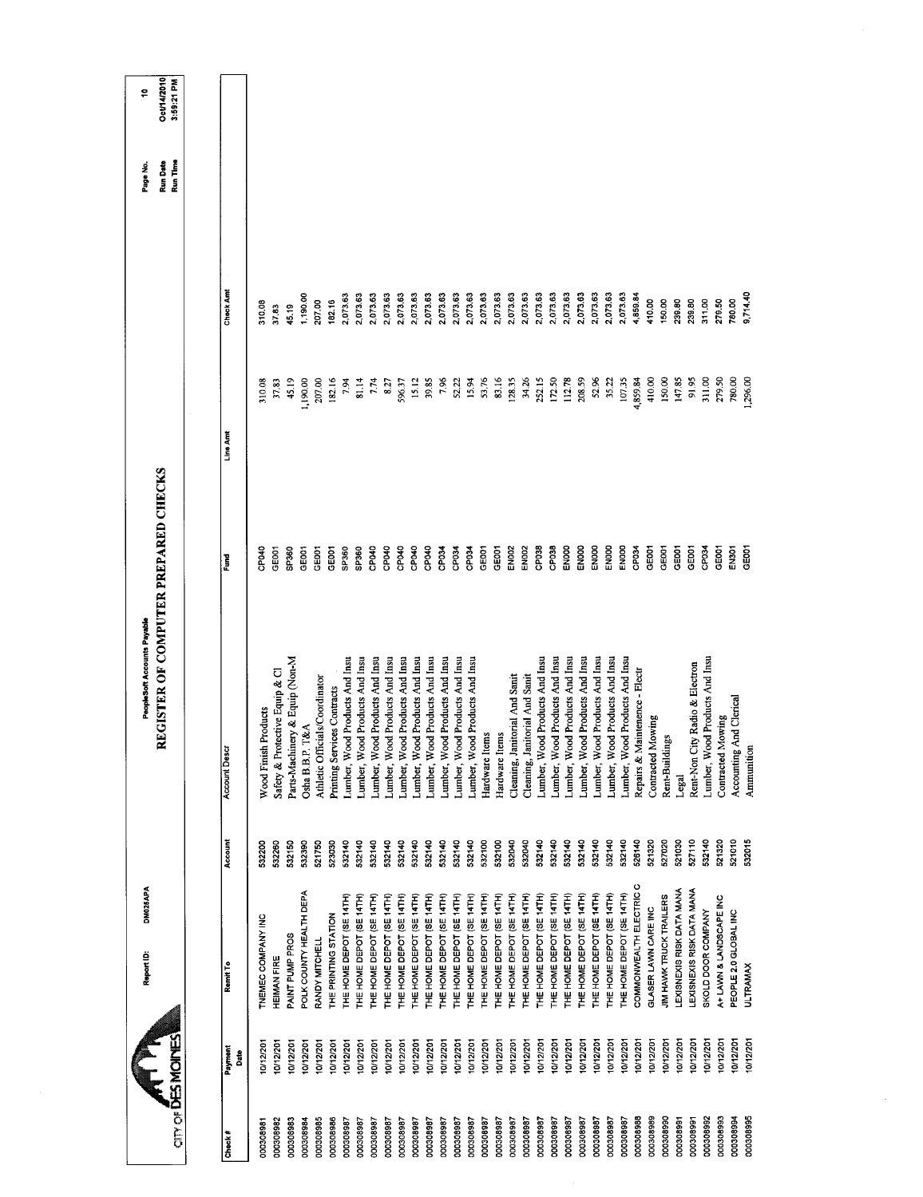|           |                           | DM025APA<br>Report ID:    |         | REGISTER OF COMPUTER PREPARED CHECKS<br>PeopleSoft Accounts Payable |                   |          |           | <b>Run Date</b><br>Page No. | Oct/14/2010<br>÷, |
|-----------|---------------------------|---------------------------|---------|---------------------------------------------------------------------|-------------------|----------|-----------|-----------------------------|-------------------|
|           | <b>CITY OF DES MOINES</b> |                           |         |                                                                     |                   |          |           | Run Time                    | 3:59:21 PM        |
|           |                           |                           |         |                                                                     |                   |          |           |                             |                   |
| Check#    | Payment<br>Date           | Remit To                  | Account | <b>Account Descr</b>                                                | š                 | Line Amt | Check Amt |                             |                   |
| 000308981 | 10/12/201                 | TNEMEC COMPANY INC        | 532200  | <b>Nood Finish Products</b>                                         | CPO40             | 310.08   | 310.08    |                             |                   |
| 000308982 | 10/12/201                 | <b>HEIMAN FIRE</b>        | 532260  | Safety & Protective Equip & Cl                                      | CE001             | 37.83    | 37.83     |                             |                   |
| 000308983 | 0/12/201                  | PAINT PUMP PROS           | 532150  | Parts-Machinery & Equip (Non-M                                      | SP360             | 45.19    | 45.19     |                             |                   |
| 000308984 | 0/12/201                  | POLK COUNTY HEALTH DEPA   | 532390  | Osha B.B.P. T&A                                                     | GE001             | 1,190.00 | 1,190.00  |                             |                   |
| 000308985 | 0/12/201                  | RANDY MITCHELL            | 521750  | Athletic Officials/Coordinator                                      | GED01             | 207.00   | 207.00    |                             |                   |
| 000308986 | 10/12/201                 | THE PRINTING STATION      | 523030  | Printing Services Contracts                                         | GE001             | 182.16   | 182.16    |                             |                   |
| 000308987 | 0/12/201                  | THE HOME DEPOT (SE 14TH)  | 532140  | Lumber, Wood Products And Insu                                      | SP360             | 7.94     | 2,073.63  |                             |                   |
| 186802000 | 10/12/201                 | THE HOME DEPOT (SE 14TH)  | 532140  | Lumber, Wood Products And Insu                                      | SP360             | 81.14    | 2,073.63  |                             |                   |
| 000308987 | 10/12/201                 | THE HOME DEPOT (SE 14TH)  | 532140  | Lumber, Wood Products And Insu                                      | CP040             | 7.74     | 2,073.63  |                             |                   |
| 000308987 | 10/12/201                 | THE HOME DEPOT (SE 14TH)  | 532140  | Lumber, Wood Products And Insu                                      | CP040             | 8.27     | 2,073.63  |                             |                   |
| 000308987 | 10/12/201                 | THE HOME DEPOT (SE 14TH)  | 532140  | Lumber, Wood Products And Insu                                      | CPO40             | 596.37   | 2,073.63  |                             |                   |
| 000308987 | 10/12/201                 | THE HOME DEPOT (SE 14TH)  | 532140  | Lumber, Wood Products And Insu                                      | CPD40             | 15.12    | 2,073.63  |                             |                   |
| 786806000 | 10/12/201                 | THE HOME DEPOT (SE 14TH)  | 532140  | Lumber, Wood Products And Insu                                      | CP040             | 39.85    | 2,073.63  |                             |                   |
| 786802000 | 10/12/201                 | THE HOME DEPOT (SE 14TH)  | 532140  | Lumber, Wood Products And Insu                                      | CP034             | 7.96     | 2,073.63  |                             |                   |
| 000308987 | 10/12/201                 | THE HOME DEPOT (SE 14TH)  | 532140  | Lumber, Wood Products And Insu                                      | CP <sub>034</sub> | 52.22    | 2,073.63  |                             |                   |
| 000308987 | 10/12/201                 | THE HOME DEPOT (SE 14TH)  | 532140  | Lumber, Wood Products And Insu                                      | CP034             | 15.94    | 2,073.63  |                             |                   |
| 000308987 | 10/12/201                 | THE HOME DEPOT (SE 14TH)  | 532100  | Hardware Items                                                      | GE001             | 53.76    | 2,073.63  |                             |                   |
| 000308987 | 10/12/201                 | THE HOME DEPOT (SE 14TH)  | 532100  | Hardware Items                                                      | GE001             | 83.16    | 2,073.63  |                             |                   |
| 000308987 | 10/12/201                 | THE HOME DEPOT (SE 14TH)  | 532040  | Cleaning, Janitorial And Sanit                                      | <b>EN002</b>      | 128.35   | 2,073.63  |                             |                   |
| 000308987 | 10/12/201                 | THE HOME DEPOT (SE 14TH)  | 532040  | Cleaning, Janitorial And Sanit                                      | EN002             | 34.26    | 2,073.63  |                             |                   |
| 000308987 | 10/12/201                 | THE HOME DEPOT (SE 14TH)  | 532140  | Lumber, Wood Products And Insu                                      | CP038             | 252.15   | 2,073.63  |                             |                   |
| 000308987 | 10/12/201                 | THE HOME DEPOT (SE 14TH)  | 532140  | Lumber, Wood Products And Insu                                      | CP038             | 172.50   | 2,073.63  |                             |                   |
| 000308987 | 10/12/201                 | THE HOME DEPOT (SE 14TH)  | 532140  | Lumber, Wood Products And Insu                                      | ENOOD             | 112.78   | 2,073.63  |                             |                   |
| 000308987 | 0/12/201                  | THE HOME DEPOT (SE 14TH)  | 532140  | Lumber, Wood Products And Insu                                      | EN000             | 208.59   | 2,073.63  |                             |                   |
| 000308987 | 10/12/201                 | THE HOME DEPOT (SE 14TH)  | 532140  | Lumber, Wood Products And Insu                                      | <b>EN000</b>      | 52.96    | 2,073.63  |                             |                   |
| 000308987 | 10/12/201                 | THE HOME DEPOT (SE 14TH)  | 532140  | Lumber, Wood Products And Insu                                      | ENOOD             | 35.22    | 2,073.63  |                             |                   |
| 000308987 | 10/12/201                 | THE HOME DEPOT (SE 14TH)  | 532140  | Lumber, Wood Products And Insu                                      | EN000             | 107.35   | 2,073.63  |                             |                   |
| 000308988 | 10/12/201                 | COMMONWEALTH ELECTRIC C   | 526140  | Maintenence - Electr<br>Repairs &                                   | CP034             | 4,859.84 | 4,859.84  |                             |                   |
| 000308989 | 10/12/201                 | GLASER LAWN CARE INC      | 521320  | Contracted Mowing                                                   | GEOOT             | 410.00   | 410.00    |                             |                   |
| 000308990 | 10/12/201                 | JIM HAWK TRUCK TRAILERS   | 527020  | Rent-Buildings                                                      | GE001             | 150,00   | 150.00    |                             |                   |
| 000308991 | 10/12/201                 | LEXISNEXIS RISK DATA MANA | 521030  | Legal                                                               | GEDOT             | 147.85   | 239.80    |                             |                   |
| 000308991 | 10/12/201                 | LEXISNEXIS RISK DATA MANA | 527110  | Rent-Non City Radio & Electron                                      | GE001             | 91.95    | 239.80    |                             |                   |
| 000308992 | 10/12/201                 | SKOLD DOOR COMPANY        | 532140  | Lumber, Wood Products And Insu                                      | CP034             | 311.00   | 31100     |                             |                   |
| 000308993 | 10/12/201                 | A+ LAWN & LANDSCAPE INC   | 521320  | <b>Contracted Mowing</b>                                            | GE001             | 279.50   | 279.50    |                             |                   |
| 000308994 | 10/12/201                 | PEOPLE 2.0 GLOBAL INC     | 521010  | <b>Accounting And Clerical</b>                                      | EN301             | 780.00   | 780.00    |                             |                   |
| 000308995 | 0/12/201                  | <b>ULTRAMAX</b>           | 532015  | Ammunition                                                          | GEOOT             | 1,296.00 | 9,714.40  |                             |                   |
|           |                           |                           |         |                                                                     |                   |          |           |                             |                   |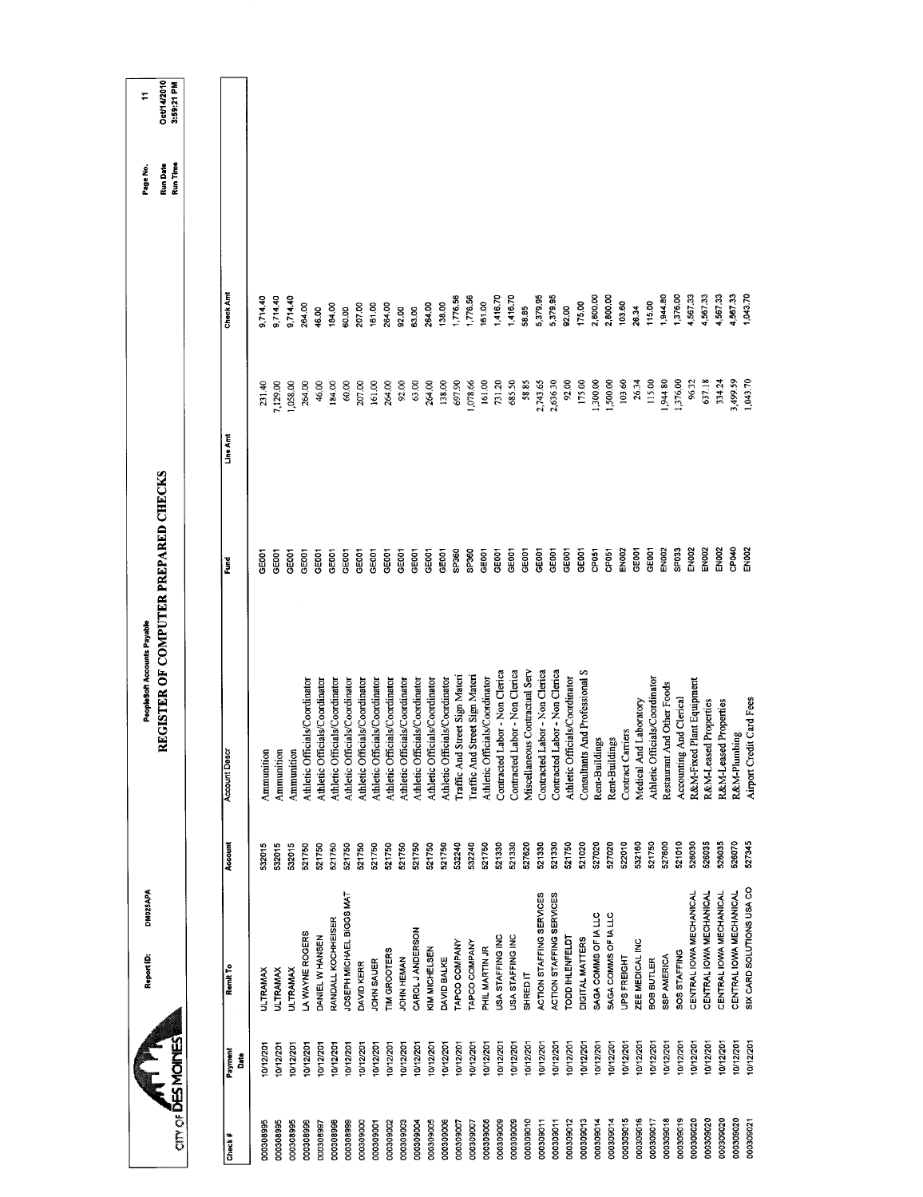|                           | DM025APA<br>Report ID:    |         | REGISTER OF COMPUTER PREPARED CHECKS<br>PeopleSoft Accounts Payable |                    |          |           | <b>Run Date</b><br>Page No. | <b>Oct/14/2010</b><br>Ξ |
|---------------------------|---------------------------|---------|---------------------------------------------------------------------|--------------------|----------|-----------|-----------------------------|-------------------------|
| <b>CITY OF DES MOINES</b> |                           |         |                                                                     |                    |          |           | Run Time                    | 3:59:21 PM              |
|                           |                           |         |                                                                     |                    |          |           |                             |                         |
| Payment<br>Date<br>Check# | Remit To                  | Account | <b>Account Descr</b>                                                | Fund               | Line Amt | Check Amt |                             |                         |
| 0/12/201<br>000308995     | <b>ULTRAMAX</b>           | 532015  | Ammunition                                                          | CEOOT              | 231.40   | 0.714.40  |                             |                         |
| 10/12/201<br>000308995    | <b>ULTRAMAX</b>           | 532015  | Ammunition                                                          | GEOOT              | 7,129.00 | 9714.40   |                             |                         |
| 10/12/201<br>000308995    | <b>ULTRAMAX</b>           | 532015  | Ammunition                                                          | GE001              | 1,058.00 | 9,714.40  |                             |                         |
| 10/12/201<br>000308996    | LA WAYNE ROGERS           | 521750  | Athletic Officials/Coordinator                                      | <b>GEOOT</b>       | 264.00   | 264.00    |                             |                         |
| 10/12/201<br>000308997    | DANIEL W HANSEN           | 521750  | Athletic Officials/Coordinator                                      | GE <sub>001</sub>  | 46.00    | 46.00     |                             |                         |
| 10/12/201<br>000308998    | RANDALL KOCHHEISER        | 521750  | Athletic Officials/Coordinator                                      | GE001              | 184.00   | 184.00    |                             |                         |
| 10/12/201<br>000308999    | JOSEPH MICHAEL BIGGS MAT  | 521750  | Athletic Officials/Coordinator                                      | <b>GEOOT</b>       | 60.00    | 60.00     |                             |                         |
| 10/12/201<br>000309000    | DAVID KERR                | 521750  | Athletic Officials/Coordinator                                      | GE001              | 207.00   | 207.00    |                             |                         |
| 10/12/201<br>000309001    | JOHN SAUER                | 521750  | Athletic Officials/Coordinator                                      | GE <sub>001</sub>  | 161.00   | 161.00    |                             |                         |
| 10/12/201<br>000309002    | TIM GROOTERS              | 521750  | Athletic Officials/Coordinator                                      | GEOOT              | 264.00   | 264.00    |                             |                         |
| 10/12/201<br>000309003    | JOHN HEMAN                | 521750  | Athletic Officials/Coordinator                                      | GEOOT              | 92.00    | 92.00     |                             |                         |
| 10/12/201<br>000309004    | CAROL J ANDERSON          | 521750  | Athletic Officials/Coordinator                                      | <b>GEOOT</b>       | 63.00    | 63.00     |                             |                         |
| 10/12/201<br>000309005    | KIM MICHELSEN             | 521750  | Athletic Officials/Coordinator                                      | GE001              | 264.00   | 264.00    |                             |                         |
| 10/12/201<br>000309006    | DAVID BALKE               | 521750  | Athletic Officials/Coordinator                                      | GEOOT              | 138.00   | 138.00    |                             |                         |
| 10/12/201<br>000309007    | TAPCO COMPANY             | 532240  | Traffic And Street Sign Materi                                      | SP360              | 697.90   | 1,776.56  |                             |                         |
| 10/12/201<br>000309007    | TAPCO COMPANY             | 532240  | Traffic And Street Sign Materi                                      | SP360              | 1,078.66 | 1,776.56  |                             |                         |
| 10/12/201<br>000309008    | PHIL MARTIN JR            | 521750  | Athletic Officials/Coordinator                                      | <b>GEOOT</b>       | 161,00   | 161.00    |                             |                         |
| 10/12/201<br>000309009    | USA STAFFING INC          | 521330  | Contracted Labor - Non Clerica                                      | GE <sub>001</sub>  | 731.20   | 1,416.70  |                             |                         |
| 10/12/201<br>000309009    | USA STAFFING INC          | 521330  | Contracted Labor - Non Clerica                                      | GE001              | 685.50   | 1,416.70  |                             |                         |
| 10/12/201<br>000309010    | SHRED IT                  | 527620  | Miscellaneous Contractual Serv                                      | GE001              | 58.85    | 58.85     |                             |                         |
| 10/12/201<br>000309011    | ACTION STAFFING SERVICES  | 521330  | Contracted Labor - Non Clerica                                      | GE001              | 2,743.65 | 5,379.95  |                             |                         |
| 10/12/201<br>000309011    | ACTION STAFFING SERVICES  | 521330  | Contracted Labor - Non Clerica                                      | GEOOT              | 2,636.30 | 5,379.95  |                             |                         |
| 0/12/201<br>000309012     | TODD IHLENFELDT           | 521750  | Athletic Officials/Coordinator                                      | GE001              | 92.00    | 92,00     |                             |                         |
| 10/12/201<br>000309013    | DIGITAL MATTERS           | 521020  | Consultants And Professional S                                      | GE001              | 175.00   | 175.00    |                             |                         |
| 10/12/201<br>000309014    | SAGA COMMS OF IA LLC      | 527020  | Rent-Buildings                                                      | <b>CP051</b>       | 1,300.00 | 2,800.00  |                             |                         |
| 10/12/201<br>000309014    | SAGA COMMS OF IA LLC      | 527020  | Rent-Buildings                                                      | CP <sub>051</sub>  | 1,500.00 | 2,800.00  |                             |                         |
| 10/12/201<br>000309015    | UPS FREIGHT               | 522010  | Contract Carriers                                                   | EN <sub>002</sub>  | 103.60   | 103.60    |                             |                         |
| 10/12/201<br>000309016    | ZEE MEDICAL INC           | 532160  | Medical And Laboratory                                              | GEOOT              | 26.34    | 26.34     |                             |                         |
| 10/12/201<br>000309017    | <b>BOB BUTLER</b>         | 521750  | Athletic Officials/Coordinator                                      | GE001              | 115.00   | 115.00    |                             |                         |
| 10/12/201<br>000309018    | SSP AMERICA               | 527600  | Restaurant And Other Foods                                          | EN <sub>002</sub>  | 1,944.80 | 1,944.80  |                             |                         |
| 0/12/201<br>000309019     | SOS STAFFING              | 521010  | Accounting And Clerical                                             | SP <sub>033</sub>  | 1,376.00 | 1,376.00  |                             |                         |
| 10/12/201<br>000309020    | CENTRAL IOWA MECHANICAL   | 526030  | R&M-Fixed Plant Equipment                                           | EN002              | 96.32    | 1.567.33  |                             |                         |
| 10/12/201<br>000309020    | CENTRAL IOWA MECHANICAL   | 526035  | R&M-Leased Properties                                               | EN002              | 637.18   | 4,567.33  |                             |                         |
| 10/12/201<br>000309020    | CENTRAL IOWA MECHANICAL   | 526035  | R&M-Leased Properties                                               | <b>EN002</b>       | 334.24   | 4,567.33  |                             |                         |
| 10/12/201<br>000309020    | CENTRAL IOWA MECHANICAL   | 526070  | R&M-Plumbing                                                        | CPO40              | 3,499.59 | 1,567.33  |                             |                         |
| 10/12/201<br>000309021    | SIX CARD SOLUTIONS USA CO | 527345  | Airport Credit Card Fees                                            | EN <sub>00</sub> 2 | 1,043.70 | 1,043.70  |                             |                         |
|                           |                           |         |                                                                     |                    |          |           |                             |                         |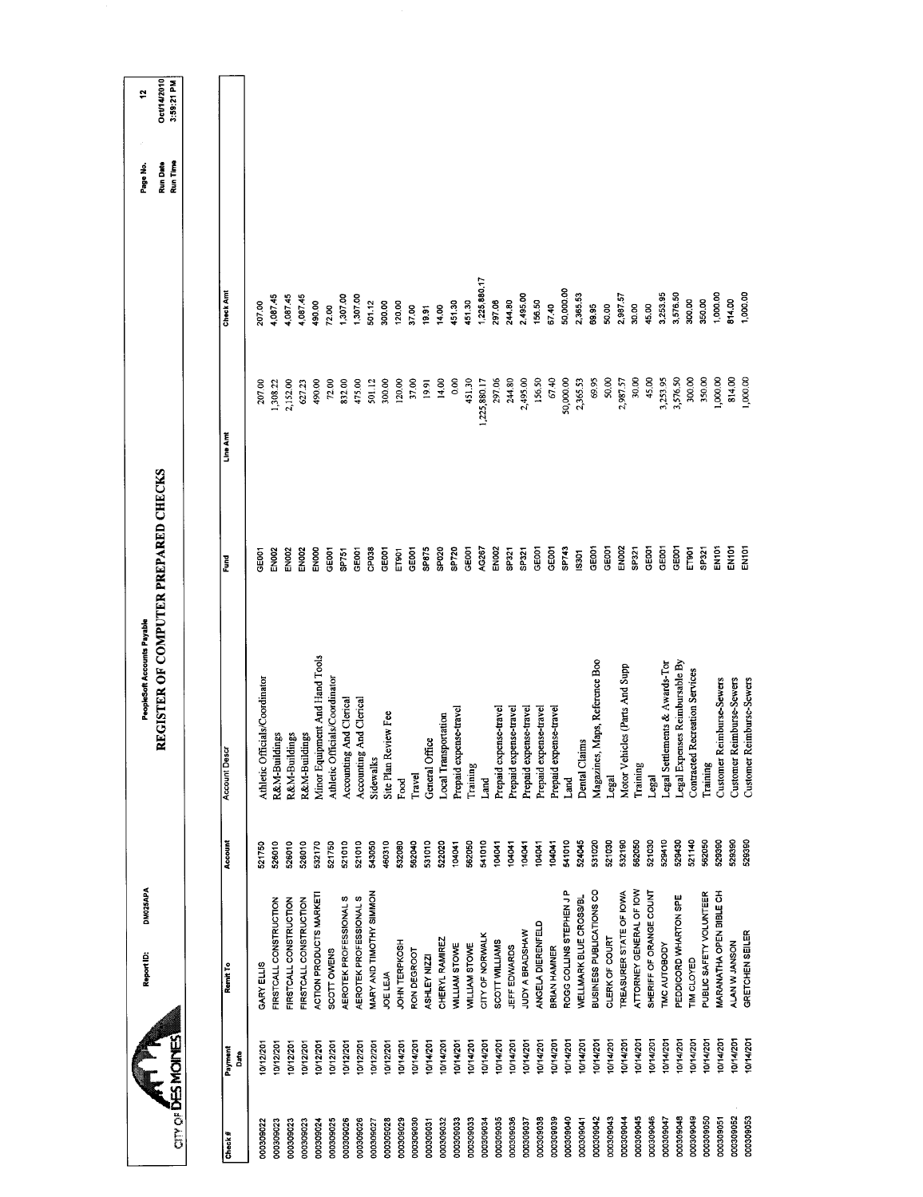|                                         |                 | DM025APA<br>Report ID:   |         | PeopleSoft Accounts Payable           |                   |              |              | Page No.             | ÷                         |
|-----------------------------------------|-----------------|--------------------------|---------|---------------------------------------|-------------------|--------------|--------------|----------------------|---------------------------|
| $CIT$ or $\overline{\text{DES}}$ MoINES |                 |                          |         | REGISTER OF COMPUTER PREPARED CHECKS  |                   |              |              | Run Time<br>Run Date | Oct/14/2010<br>3:59:21 PM |
|                                         |                 |                          |         |                                       |                   |              |              |                      |                           |
| Check#                                  | Payment<br>Date | Remit To                 | Account | <b>Account Descr</b>                  | Į                 | Line Am      | Check Amt    |                      |                           |
| 000309022                               | 0/12/201        | GARY ELLIS               | 521750  | Athletic Officials/Coordinator        | GEOOT             | 207.00       | 207.00       |                      |                           |
| 000309023                               | 10/12/201       | FIRSTCALL CONSTRUCTION   | 526010  | R&M-Buildings                         | EN002             | 1,308.22     | 4,087.45     |                      |                           |
| 000309023                               | 10/12/201       | FIRSTCALL CONSTRUCTION   | 520010  | R&M-Buildings                         | EN <sub>002</sub> | 2,152.00     | 4,087.45     |                      |                           |
| 000309023                               | 0/12/201        | FIRSTCALL CONSTRUCTION   | 526010  | R&M-Buildings                         | ENO <sub>02</sub> | 627.23       | 4,087.45     |                      |                           |
| 000309024                               | 10/12/201       | ACTION PRODUCTS MARKETI  | 532170  | Minor Equipment And Hand Tools        | EN <sub>000</sub> | 490,00       | 490.00       |                      |                           |
| 000309025                               | 10/12/201       | SCOTT OWENS              | 521750  | Athletic Officials/Coordinator        | GEDOT             | 72.00        | 72.00        |                      |                           |
| 000309026                               | 10/12/201       | AEROTEK PROFESSIONAL S   | 521010  | Accounting And Clerical               | SP751             | 832.00       | 1,307.00     |                      |                           |
| 000309026                               | 10/12/201       | AEROTEK PROFESSIONAL S   | 521010  | Accounting And Clerical               | GE001             | 475.00       | 1,307.00     |                      |                           |
| 000309027                               | 0/12/201        | MARY AND TIMOTHY SIMMON  | 543050  | Sidewalks                             | CPO38             | 501.12       | 501.12       |                      |                           |
| 000309028                               | 10/12/201       | JOE LEJA                 | 460310  | Site Plan Review Fee                  | GEOO1             | 300.00       | 300.00       |                      |                           |
| 000309029                               | 0/14/201        | JOHN TERPKOSH            | 532080  | Food                                  | E1901             | 120.00       | 120.00       |                      |                           |
| 000309030                               | 0/14/201        | RON DEGROOT              | 562040  | Travel                                | GEOOT             | 37.00        | 37.00        |                      |                           |
| 000309031                               | 10/14/201       | ASHLEY NIZZI             | 531010  | General Office                        | <b>SP875</b>      | 19.91        | 19.91        |                      |                           |
| 000309032                               | 10/14/201       | CHERYL RAMIREZ           | 522020  | Local Transportation                  | SP020             | 14.00        | 14.00        |                      |                           |
| 000309033                               | 10/14/201       | <b>WILLIAM STOWE</b>     | 104041  | Prepaid expense-travel                | SP720             | 0.00         | 451.30       |                      |                           |
| 000309033                               | 10/14/201       | WILLIAM STOWE            | 562050  | Training                              | GEODT             | 451.30       | 451.30       |                      |                           |
| 000309034                               | 10/14/201       | CITY OF NORWALK          | 541010  | Land                                  | AG267             | 1,225,880.17 | 1,225,880.17 |                      |                           |
| 000309035                               | 10/14/201       | SCOTT WILLIAMS           | 104041  | Prepaid expense-travel                | <b>EN002</b>      | 297.06       | 297.06       |                      |                           |
| 000309036                               | 0/14/201        | JEFF EDWARDS             | 104041  | Prepaid expense-travel                | SP321             | 244.80       | 244.80       |                      |                           |
| 100309037                               | 0/14/201        | JUDY A BRADSHAW          | 104041  | Prepaid expense-travel                | SP321             | 2,495.00     | 2,495.00     |                      |                           |
| 000309038                               | 10/14/201       | ANGELA DIERENFELD        | 104041  | Prepaid expense-travel                | GE001             | 156.50       | 156.50       |                      |                           |
| 000309039                               | 0/14/201        | <b>BRIAN HAMNER</b>      | 104041  | Prepaid expense-travel                | GE001             | 67.40        | 67.40        |                      |                           |
| 000309040                               | 10/14/201       | ROGG COLLINS STEPHEN JP  | 541010  | Land                                  | SP743             | 50,000.00    | 50,000.00    |                      |                           |
| 000309041                               | 0/14/201        | WELLMARK BLUE CROSS/BL   | 524045  | Dental Claims                         | 13301             | 2,365.53     | 2,365.53     |                      |                           |
| 000309042                               | 0/14/201        | BUSINESS PUBLICATIONS CO | 531020  | Magazines, Maps, Reference Boo        | GEOOT             | 69.95        | 69.95        |                      |                           |
| DO0309043                               | 10/14/201       | CLERK OF COURT           | 521030  | Legal                                 | GE <sub>001</sub> | 50.00        | 50.00        |                      |                           |
| 000309044                               | 10/14/201       | TREASURER STATE OF IOWA  | 532190  | Motor Vehicles (Parts And Supp        | <b>EN002</b>      | 2,987.57     | 2,987.57     |                      |                           |
| 000309045                               | 10/14/201       | ATTORNEY GENERAL OF IOW  | 562050  | Training                              | SP321             | 30.00        | 30.00        |                      |                           |
| 000309046                               | 074/201         | SHERIFF OF ORANGE COUNT  | 521030  | Legal                                 | GEOOT             | 45.00        | 45.00        |                      |                           |
| 000309047                               | 0/14/201        | TMC AUTOBODY             | 529410  | Legal Settlements & Awards-Tor        | GE001             | 3,253.95     | 3,253.95     |                      |                           |
| 000309048                               | 0/14/201        | PEDDICORD WHARTON SPE    | 529430  | Legal Expenses Reimbursable By        | GEOOT             | 3,576.50     | 3,576.50     |                      |                           |
| 000309049                               | 10/14/201       | TIM CLOYED               | 521140  | <b>Contracted Recreation Services</b> | ET901             | 300.00       | 300.00       |                      |                           |
| 000309050                               | 10/14/201       | PUBLIC SAFETY VOLUNTEER  | 562050  | Training                              | SP321             | 350.00       | 350.00       |                      |                           |
| 000309051                               | 0/14/201        | MARANATHA OPEN BIBLE CH  | 529390  | Customer Reimburse-Sewers             | EN101             | 1,000.00     | 1,000.00     |                      |                           |
| 000309052                               | 10/14/201       | ALAN W JANSON            | 529390  | Customer Reimburse-Sewers             | ENIOT             | 814.00       | 814.00       |                      |                           |
| 000309053                               | 0/14/201        | GRETCHEN SEILER          | 529390  | Customer Reimburse-Sewers             | EN <sub>101</sub> | 1,000.00     | 1,000.00     |                      |                           |
|                                         |                 |                          |         |                                       |                   |              |              |                      |                           |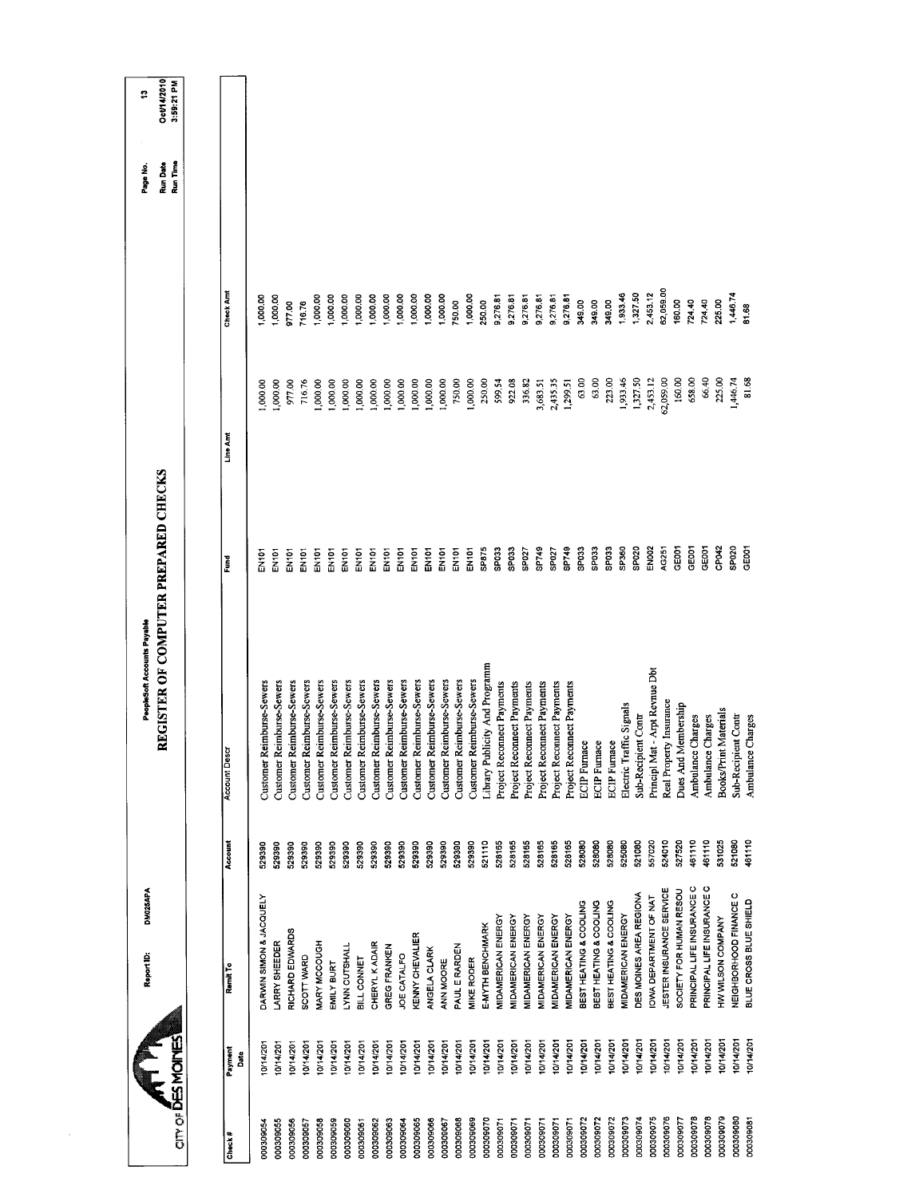|                  |                 | DM025APA<br>Report ID:           |         | REGISTER OF COMPUTER PREPARED CHECKS<br>PeopleSoft Accounts Payable |                   |           |           | <b>Run Date</b><br>Page No. | Oct/14/2010<br>÷ |
|------------------|-----------------|----------------------------------|---------|---------------------------------------------------------------------|-------------------|-----------|-----------|-----------------------------|------------------|
| <b>THE MONES</b> |                 |                                  |         |                                                                     |                   |           |           | Run Time                    | 3:59:21 PM       |
|                  |                 |                                  |         |                                                                     |                   |           |           |                             |                  |
| Check#           | Payment<br>Date | Remit To                         | Account | <b>Account Descr</b>                                                | š                 | Line Am   | Check Am  |                             |                  |
| 000309054        | 0/14/20         | DARWIN SIMON & JACQUELY          | 529390  | Customer Reimburse-Sewers                                           | 좋                 | 00000,    | 1,000.00  |                             |                  |
| 000309055        | 0/14/20         | LARRY SHEEDER                    | 529390  | Customer Reimburse-Sewers                                           | EN101             | 1,000.00  | 1,000,00  |                             |                  |
| 000309056        | 10/14/201       | RICHARD EDWARDS                  | 529390  | Customer Reimburse-Sewers                                           | <b>EN101</b>      | 97700     | 977.00    |                             |                  |
| 000309057        | 0/14/201        | SCOTT WARD                       | 529390  | Customer Reimburse-Sewers                                           | EN101             | 716.76    | 716.76    |                             |                  |
| 000309058        | 10/14/201       | MARY MCCOUGH                     | 529390  | Customer Reimburse-Sewers                                           | EN101             | 1,000,00  | 1,000.00  |                             |                  |
| 000309059        | 10/14/201       | EMILY BURT                       | 529390  | Customer Reimburse-Sewers                                           | EN <sub>101</sub> | 1,000.00  | 1,000.00  |                             |                  |
| 000309060        | 10/14/201       | LYNN CUTSHALL                    | 529390  | Customer Reimburse-Sewers                                           | EN101             | 1,000.00  | 1,000.00  |                             |                  |
| 000309061        | 0/14/201        | BILL CONNET                      | 529390  | Customer Reimburse-Sewers                                           | EN101             | ,000.00   | 1,000.00  |                             |                  |
| 000309062        | 0/14/201        | CHERYL KADAIR                    | 529390  | Customer Reimburse-Sewers                                           | EN101             | 1,000.00  | 1,000.00  |                             |                  |
| 000309063        | 10/14/201       | <b>GREG FRANKEN</b>              | 529390  | Customer Reimburse-Sewers                                           | EN101             | 1,000.00  | 1,000.00  |                             |                  |
| 000309064        | 10/14/201       | JOE CATALFO                      | 529390  | Customer Reimburse-Sewers                                           | EN101             | 1,000.00  | 1,000.00  |                             |                  |
| 000309065        | 0/14/201        | <b>GENNY CHEVALIER</b>           | 529390  | Customer Reimburse-Sewers                                           | EN101             | 00.000    | 1,000.00  |                             |                  |
| 000309066        | 10/14/201       | ANGELA CLARK                     | 529390  | Customer Reimburse-Sewers                                           | EN101             | 1,000.00  | 1,000.00  |                             |                  |
| 000309067        | 10/14/201       | ANN MOORE                        | 529390  | Customer Reimburse-Sewers                                           | EN101             | 1,000.00  | 1,000.00  |                             |                  |
| 000309068        | 0/14/201        | PAUL E RARDEN                    | 529390  | Customer Reimburse-Sewers                                           | EN <sub>101</sub> | 750.00    | 750.00    |                             |                  |
| 000309069        | 10/14/201       | <b>MIKE RODER</b>                | 529390  | Customer Reimburse-Sewers                                           | <b>EN101</b>      | 1,000.00  | 1,000.00  |                             |                  |
| 000309070        | 10/14/201       | E-MYTH BENCHMARK                 | 521110  | Library Publicity And Programm                                      | SP875             | 250,00    | 250.00    |                             |                  |
| 000309071        | 0/14/201        | MIDAMERICAN ENERGY               | 528165  | Project Reconnect Payments                                          | SPO33             | 599.54    | 9,276.81  |                             |                  |
| 000309071        | 10/14/201       | <b>MIDAMERICAN ENERGY</b>        | 528165  | Project Reconnect Payments                                          | SPO33             | 922.08    | 9,276.81  |                             |                  |
| 000309071        | 10/14/201       | <b>MIDAMERICAN ENERGY</b>        | 528165  | Project Reconnect Payments                                          | SP027             | 336.82    | 9,276.81  |                             |                  |
| 000309071        | 10/14/201       | <b>MIDAMERICAN ENERGY</b>        | 528165  | Project Reconnect Payments                                          | SP749             | 3,683.51  | 9,276.81  |                             |                  |
| 000309071        | 0/14/201        | MIDAMERICAN ENERGY               | 528165  | Project Reconnect Payments                                          | SPO <sub>27</sub> | 2,435.35  | 9,276.81  |                             |                  |
| 000309071        | 0/14/201        | <b><i>AIDAMERICAN ENERGY</i></b> | 528165  | Project Reconnect Payments                                          | SP749             | 1,299.51  | 9,276.81  |                             |                  |
| 000309072        | 10/14/201       | BEST HEATING & COOLING           | 528080  | <b>ECIP</b> Furnace                                                 | SP <sub>033</sub> | 63.00     | 349.00    |                             |                  |
| 000309072        | 10/14/201       | BEST HEATING & COOLING           | 528080  | <b>ECIP</b> Furnace                                                 | SP <sub>033</sub> | 63,00     | 349.00    |                             |                  |
| 000309072        | 0/14/201        | BEST HEATING & COOLING           | 528080  | <b>ECIP</b> Furnace                                                 | SPO <sub>33</sub> | 223.00    | 349.00    |                             |                  |
| 000309073        | 10/14/201       | MIDAMERICAN ENERGY               | 525080  | Electric Traffic Signals                                            | SP360             | 1,933.46  | 1,933.46  |                             |                  |
| 000309074        | 0/14/201        | DES MOINES AREA REGIONA          | 521080  | Sub-Recipient Contr                                                 | SP020             | 1,327.50  | 1,327.50  |                             |                  |
| 000309075        | 0714/201        | OWA DEPARTMENT OF NAT            | 557020  | Principl Mat - Arpt Revnue Dbt                                      | EN002             | 2,453.12  | 2,453.12  |                             |                  |
| 000309076        | 0/14/201        | JESTER INSURANCE SERVICE         | 524010  | Real Property Insurance                                             | AG251             | 62,059.00 | 32,059.00 |                             |                  |
| 000309077        | 0/14/201        | SOCIETY FOR HUMAN RESOU          | 527520  | Dues And Membership                                                 | GE001             | 160.00    | 160.00    |                             |                  |
| 000309078        | 10/14/201       | PRINCIPAL LIFE INSURANCE C       | 461110  | Ambulance Charges                                                   | GEOOT             | 658.00    | 724.40    |                             |                  |
| 000309078        | 0714/201        | PRINCIPAL LIFE INSURANCE C       | 461110  | Ambulance Charges                                                   | GE001             | 66.40     | 724.40    |                             |                  |
| 000309079        | 0/14/201        | HW WILSON COMPANY                | 531025  | <b>Books/Print Materials</b>                                        | CP042             | 225.00    | 225.00    |                             |                  |
| 000309080        | 0714/201        | NEIGHBORHOOD FINANCE C           | 521080  | Sub-Recipient Contr                                                 | SP020             | 1,446.74  | 1,446.74  |                             |                  |
| 000309081        | 10/14/201       | BLUE CROSS BLUE SHIELD           | 461110  | Charges<br>Ambulance                                                | GE001             | 81.68     | 81.68     |                             |                  |
|                  |                 |                                  |         |                                                                     |                   |           |           |                             |                  |

 $\sim$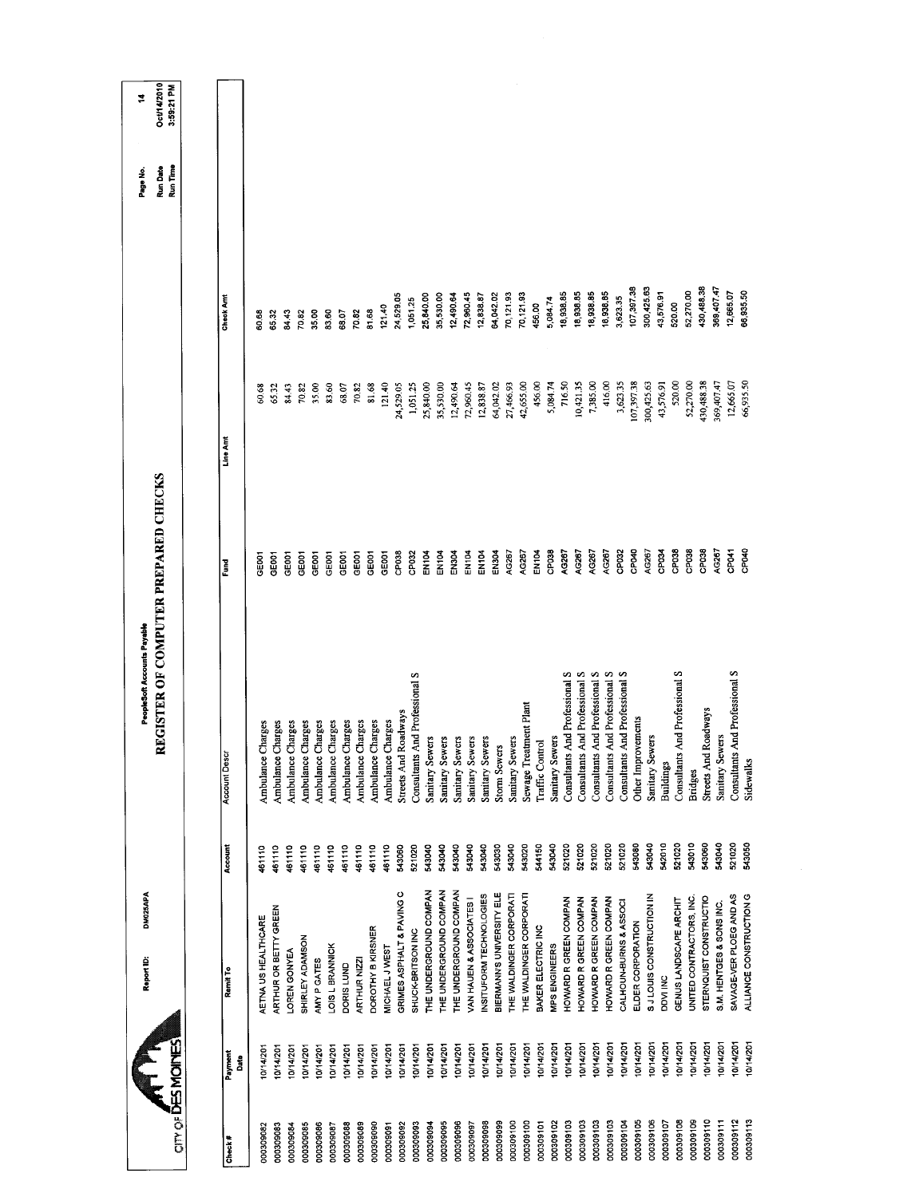| Oct/14/2010<br>3:59:21 PM<br><b>Run Date</b><br>Run Time<br>430,488.38<br>147,09,499<br>107,397.38<br>300,425.63<br>86,935.50<br>18,938.85<br>43,576.91<br>52,270.00<br>12,665.07<br>18,938.85<br>18,938.85<br>18,938.85<br>72,960.45<br>70,121.93<br>70,121.93<br>24,529.05<br>25,840.00<br>35,530.00<br>12,490.64<br>12,838.87<br>64,042.02<br>3,623.35<br>Check Am<br>5,084.74<br>1,051.25<br>520.00<br>456,00<br>121.40<br>81.68<br>83.60<br>70.82<br>84.43<br>70.82<br>35.00<br>58.07<br>65.32<br>60,68<br>430,488.38<br>66,935.50<br>107,397.38<br>520.00<br>369,407.47<br>12,665.07<br>27,466.93<br>42,655.00<br>716.50<br>7,385.00<br>416.00<br>300,425.63<br>52,270.00<br>1,051.25<br>72,960.45<br>64,042.02<br>456.00<br>5,084.74<br>10,421.35<br>3,623.35<br>35,00<br>83.60<br>81.68<br>121.40<br>24,529.05<br>25,840.00<br>35,530.00<br>12,490.64<br>12,838.87<br>43,576.91<br>68.07<br>70.82<br>65.32<br>84.43<br>70.82<br>60.68<br>Line Amt<br>REGISTER OF COMPUTER PREPARED CHECKS<br>AG267<br>CPO40<br>CP038<br>CP040<br>AG267<br>CP038<br>CP038<br>CP038<br>CP <sub>041</sub><br>EN104<br>EN304<br>EN <sub>1</sub> D4<br>EN304<br>AG267<br>AG267<br>AG267<br>AG267<br>CP032<br>CP034<br>CP038<br>CP032<br>EN104<br>EN <sub>104</sub><br>AG267<br>EN104<br>AG267<br>GEOOT<br>GE001<br>GEOOT<br>GE001<br>GE001<br>GE001<br>GE001<br>GED01<br>GE001<br>GE001<br>Ĕ<br>Consultants And Professional S<br>Consultants And Professional S<br>Consultants And Professional S<br>And Professional S<br>Consultants And Professional S<br>And Professional S<br>Consultants And Professional S<br>Consultants And Professional S<br>Sewage Treatment Plant<br>Roadways<br>Roadways<br>Other Improvements<br>Ambulance Charges<br>Charges<br>Charges<br>Charges<br>Charges<br>Charges<br>Ambulance Charges<br>Ambulance Charges<br>Charges<br>Ambulance Charges<br>Sanitary Sewers<br>Sanitary Sewers<br>Sanitary Sewers<br>Sanitary Sewers<br>Sanitary Sewers<br>Sanitary Sewers<br>Sanitary Sewers<br>Sanitary Sewers<br>Sanitary Sewers<br>Traffic Control<br><b>Storm Sewers</b><br>Account Desc<br>Ambulance<br>Ambulance<br>Ambulance<br>Ambulance<br>Ambulance<br>Ambulance<br>Streets And<br>Consultants<br>Consultants<br>Streets And<br>Sidewalks<br><b>Buildings</b><br><b>Bridges</b><br>543040<br>542010<br>521020<br>543010<br>543040<br>521020<br>543080<br>543060<br>521020<br>Account<br>543040<br>521020<br>521020<br>521020<br>543050<br>543040<br>543040<br>543040<br>543040<br>543030<br>543040<br>544150<br>521020<br>543040<br>543020<br>461110<br>461110<br>461110<br>461110<br>451110<br>461110<br>461110<br>461110<br>461110<br>543060<br>521020<br>461110<br>THE UNDERGROUND COMPAN<br>THE UNDERGROUND COMPAN<br>GRIMES ASPHALT & PAVING C<br>THE UNDERGROUND COMPAN<br>BIERMANN'S UNIVERSITY ELE<br>THE WALDINGER CORPORATI<br><b>SJLOUIS CONSTRUCTION IN</b><br>INSITUFORM TECHNOLOGIES<br>THE WALDINGER CORPORATI<br>SAVAGE-VER PLOEG AND AS<br>ALLIANCE CONSTRUCTION G<br>VAN HAUEN & ASSOCIATES I<br>UNITED CONTRACTORS, INC.<br>STERNQUIST CONSTRUCTIO<br>HOWARD R GREEN COMPAN<br>HOWARD R GREEN COMPAN<br>HOWARD R GREEN COMPAN<br>HOWARD R GREEN COMPAN<br>GENUS LANDSCAPE ARCHIT<br>CALHOUN-BURNS & ASSOCI<br>S.M. HENTGES & SONS INC.<br>ARTHUR OR BETTY GREEN<br>AETNA US HEALTHCARE<br>ELDER CORPORATION<br>BAKER ELECTRIC INC<br>DOROTHY B KIRSNER<br>SHUCK-BRITSON INC<br>SHIRLEY ADAMSON<br><b>MPS ENGINEERS</b><br>LOIS L BRANNICK<br>MICHAEL JWEST<br>LOREN GONYEA<br>AMY P CATES<br>ARTHUR NIZZ<br>DORIS LUND<br>Remit To<br>DDVI INC<br>$CIT$ or $\overline{D}$ ES MOINES<br>10/14/201<br>0/14/201<br>10/14/201<br>0/14/201<br>0/14/201<br>10/14/201<br>10/14/201<br>0/14/201<br>0/14/201<br>10/14/201<br>10/14/20<br>0/14/201<br>10/14/201<br>0714/201<br>0/14/201<br>10/14/201<br>10/14/201<br>10/14/201<br>0/14/201<br>10/14/201<br>10/14/201<br>0/14/201<br>10/14/201<br>0/14/201<br>10/14/201<br>10/14/201<br>074/201<br>0/14/201<br>10/14/201<br>0/14/201<br>0/14/201<br>0/14/201<br>0/14/201<br>10/14/201<br>0/14/201<br>0/14/20<br>Payment<br>Date<br>000309112<br>000309113<br>000309109<br>000309110<br>000309106<br>000309108<br>000309111<br>000309103<br>000309103<br>000309103<br>000309104<br>000309105<br>000309107<br>000309095<br>000309096<br>000309098<br>000309099<br>000309100<br>000309100<br>000309102<br>000309103<br>000309093<br>000309083<br>000309090<br>000309094<br>000309097<br>000309101<br>000309086<br>000309088<br>000309089<br>000309091<br>000309092<br>000309082<br>000309084<br>000309085<br>000309087<br>Check # |  | DM025APA<br>Report ID: | PeopleSoft Accounts Payable |  | Page No. | ż |
|----------------------------------------------------------------------------------------------------------------------------------------------------------------------------------------------------------------------------------------------------------------------------------------------------------------------------------------------------------------------------------------------------------------------------------------------------------------------------------------------------------------------------------------------------------------------------------------------------------------------------------------------------------------------------------------------------------------------------------------------------------------------------------------------------------------------------------------------------------------------------------------------------------------------------------------------------------------------------------------------------------------------------------------------------------------------------------------------------------------------------------------------------------------------------------------------------------------------------------------------------------------------------------------------------------------------------------------------------------------------------------------------------------------------------------------------------------------------------------------------------------------------------------------------------------------------------------------------------------------------------------------------------------------------------------------------------------------------------------------------------------------------------------------------------------------------------------------------------------------------------------------------------------------------------------------------------------------------------------------------------------------------------------------------------------------------------------------------------------------------------------------------------------------------------------------------------------------------------------------------------------------------------------------------------------------------------------------------------------------------------------------------------------------------------------------------------------------------------------------------------------------------------------------------------------------------------------------------------------------------------------------------------------------------------------------------------------------------------------------------------------------------------------------------------------------------------------------------------------------------------------------------------------------------------------------------------------------------------------------------------------------------------------------------------------------------------------------------------------------------------------------------------------------------------------------------------------------------------------------------------------------------------------------------------------------------------------------------------------------------------------------------------------------------------------------------------------------------------------------------------------------------------------------------------------------------------------------------------------------------------------------------------------------------------------------------------------------------------------------------------------------------------------------------------------------------------------------------------------------------------------------------------------------------------------------------------------------------------------------------------------------------------------------------------------------------------------------------------------------------------------------------------------------------------------------------------------------------------------------------------------------------------------------------------------------------------------------------------------------------------------------------------------------------------------------------------------------------------------------------------------------------------------------------------------------------------------------------------------------|--|------------------------|-----------------------------|--|----------|---|
|                                                                                                                                                                                                                                                                                                                                                                                                                                                                                                                                                                                                                                                                                                                                                                                                                                                                                                                                                                                                                                                                                                                                                                                                                                                                                                                                                                                                                                                                                                                                                                                                                                                                                                                                                                                                                                                                                                                                                                                                                                                                                                                                                                                                                                                                                                                                                                                                                                                                                                                                                                                                                                                                                                                                                                                                                                                                                                                                                                                                                                                                                                                                                                                                                                                                                                                                                                                                                                                                                                                                                                                                                                                                                                                                                                                                                                                                                                                                                                                                                                                                                                                                                                                                                                                                                                                                                                                                                                                                                                                                                                                                                |  |                        |                             |  |          |   |
|                                                                                                                                                                                                                                                                                                                                                                                                                                                                                                                                                                                                                                                                                                                                                                                                                                                                                                                                                                                                                                                                                                                                                                                                                                                                                                                                                                                                                                                                                                                                                                                                                                                                                                                                                                                                                                                                                                                                                                                                                                                                                                                                                                                                                                                                                                                                                                                                                                                                                                                                                                                                                                                                                                                                                                                                                                                                                                                                                                                                                                                                                                                                                                                                                                                                                                                                                                                                                                                                                                                                                                                                                                                                                                                                                                                                                                                                                                                                                                                                                                                                                                                                                                                                                                                                                                                                                                                                                                                                                                                                                                                                                |  |                        |                             |  |          |   |
|                                                                                                                                                                                                                                                                                                                                                                                                                                                                                                                                                                                                                                                                                                                                                                                                                                                                                                                                                                                                                                                                                                                                                                                                                                                                                                                                                                                                                                                                                                                                                                                                                                                                                                                                                                                                                                                                                                                                                                                                                                                                                                                                                                                                                                                                                                                                                                                                                                                                                                                                                                                                                                                                                                                                                                                                                                                                                                                                                                                                                                                                                                                                                                                                                                                                                                                                                                                                                                                                                                                                                                                                                                                                                                                                                                                                                                                                                                                                                                                                                                                                                                                                                                                                                                                                                                                                                                                                                                                                                                                                                                                                                |  |                        |                             |  |          |   |
|                                                                                                                                                                                                                                                                                                                                                                                                                                                                                                                                                                                                                                                                                                                                                                                                                                                                                                                                                                                                                                                                                                                                                                                                                                                                                                                                                                                                                                                                                                                                                                                                                                                                                                                                                                                                                                                                                                                                                                                                                                                                                                                                                                                                                                                                                                                                                                                                                                                                                                                                                                                                                                                                                                                                                                                                                                                                                                                                                                                                                                                                                                                                                                                                                                                                                                                                                                                                                                                                                                                                                                                                                                                                                                                                                                                                                                                                                                                                                                                                                                                                                                                                                                                                                                                                                                                                                                                                                                                                                                                                                                                                                |  |                        |                             |  |          |   |
|                                                                                                                                                                                                                                                                                                                                                                                                                                                                                                                                                                                                                                                                                                                                                                                                                                                                                                                                                                                                                                                                                                                                                                                                                                                                                                                                                                                                                                                                                                                                                                                                                                                                                                                                                                                                                                                                                                                                                                                                                                                                                                                                                                                                                                                                                                                                                                                                                                                                                                                                                                                                                                                                                                                                                                                                                                                                                                                                                                                                                                                                                                                                                                                                                                                                                                                                                                                                                                                                                                                                                                                                                                                                                                                                                                                                                                                                                                                                                                                                                                                                                                                                                                                                                                                                                                                                                                                                                                                                                                                                                                                                                |  |                        |                             |  |          |   |
|                                                                                                                                                                                                                                                                                                                                                                                                                                                                                                                                                                                                                                                                                                                                                                                                                                                                                                                                                                                                                                                                                                                                                                                                                                                                                                                                                                                                                                                                                                                                                                                                                                                                                                                                                                                                                                                                                                                                                                                                                                                                                                                                                                                                                                                                                                                                                                                                                                                                                                                                                                                                                                                                                                                                                                                                                                                                                                                                                                                                                                                                                                                                                                                                                                                                                                                                                                                                                                                                                                                                                                                                                                                                                                                                                                                                                                                                                                                                                                                                                                                                                                                                                                                                                                                                                                                                                                                                                                                                                                                                                                                                                |  |                        |                             |  |          |   |
|                                                                                                                                                                                                                                                                                                                                                                                                                                                                                                                                                                                                                                                                                                                                                                                                                                                                                                                                                                                                                                                                                                                                                                                                                                                                                                                                                                                                                                                                                                                                                                                                                                                                                                                                                                                                                                                                                                                                                                                                                                                                                                                                                                                                                                                                                                                                                                                                                                                                                                                                                                                                                                                                                                                                                                                                                                                                                                                                                                                                                                                                                                                                                                                                                                                                                                                                                                                                                                                                                                                                                                                                                                                                                                                                                                                                                                                                                                                                                                                                                                                                                                                                                                                                                                                                                                                                                                                                                                                                                                                                                                                                                |  |                        |                             |  |          |   |
|                                                                                                                                                                                                                                                                                                                                                                                                                                                                                                                                                                                                                                                                                                                                                                                                                                                                                                                                                                                                                                                                                                                                                                                                                                                                                                                                                                                                                                                                                                                                                                                                                                                                                                                                                                                                                                                                                                                                                                                                                                                                                                                                                                                                                                                                                                                                                                                                                                                                                                                                                                                                                                                                                                                                                                                                                                                                                                                                                                                                                                                                                                                                                                                                                                                                                                                                                                                                                                                                                                                                                                                                                                                                                                                                                                                                                                                                                                                                                                                                                                                                                                                                                                                                                                                                                                                                                                                                                                                                                                                                                                                                                |  |                        |                             |  |          |   |
|                                                                                                                                                                                                                                                                                                                                                                                                                                                                                                                                                                                                                                                                                                                                                                                                                                                                                                                                                                                                                                                                                                                                                                                                                                                                                                                                                                                                                                                                                                                                                                                                                                                                                                                                                                                                                                                                                                                                                                                                                                                                                                                                                                                                                                                                                                                                                                                                                                                                                                                                                                                                                                                                                                                                                                                                                                                                                                                                                                                                                                                                                                                                                                                                                                                                                                                                                                                                                                                                                                                                                                                                                                                                                                                                                                                                                                                                                                                                                                                                                                                                                                                                                                                                                                                                                                                                                                                                                                                                                                                                                                                                                |  |                        |                             |  |          |   |
|                                                                                                                                                                                                                                                                                                                                                                                                                                                                                                                                                                                                                                                                                                                                                                                                                                                                                                                                                                                                                                                                                                                                                                                                                                                                                                                                                                                                                                                                                                                                                                                                                                                                                                                                                                                                                                                                                                                                                                                                                                                                                                                                                                                                                                                                                                                                                                                                                                                                                                                                                                                                                                                                                                                                                                                                                                                                                                                                                                                                                                                                                                                                                                                                                                                                                                                                                                                                                                                                                                                                                                                                                                                                                                                                                                                                                                                                                                                                                                                                                                                                                                                                                                                                                                                                                                                                                                                                                                                                                                                                                                                                                |  |                        |                             |  |          |   |
|                                                                                                                                                                                                                                                                                                                                                                                                                                                                                                                                                                                                                                                                                                                                                                                                                                                                                                                                                                                                                                                                                                                                                                                                                                                                                                                                                                                                                                                                                                                                                                                                                                                                                                                                                                                                                                                                                                                                                                                                                                                                                                                                                                                                                                                                                                                                                                                                                                                                                                                                                                                                                                                                                                                                                                                                                                                                                                                                                                                                                                                                                                                                                                                                                                                                                                                                                                                                                                                                                                                                                                                                                                                                                                                                                                                                                                                                                                                                                                                                                                                                                                                                                                                                                                                                                                                                                                                                                                                                                                                                                                                                                |  |                        |                             |  |          |   |
|                                                                                                                                                                                                                                                                                                                                                                                                                                                                                                                                                                                                                                                                                                                                                                                                                                                                                                                                                                                                                                                                                                                                                                                                                                                                                                                                                                                                                                                                                                                                                                                                                                                                                                                                                                                                                                                                                                                                                                                                                                                                                                                                                                                                                                                                                                                                                                                                                                                                                                                                                                                                                                                                                                                                                                                                                                                                                                                                                                                                                                                                                                                                                                                                                                                                                                                                                                                                                                                                                                                                                                                                                                                                                                                                                                                                                                                                                                                                                                                                                                                                                                                                                                                                                                                                                                                                                                                                                                                                                                                                                                                                                |  |                        |                             |  |          |   |
|                                                                                                                                                                                                                                                                                                                                                                                                                                                                                                                                                                                                                                                                                                                                                                                                                                                                                                                                                                                                                                                                                                                                                                                                                                                                                                                                                                                                                                                                                                                                                                                                                                                                                                                                                                                                                                                                                                                                                                                                                                                                                                                                                                                                                                                                                                                                                                                                                                                                                                                                                                                                                                                                                                                                                                                                                                                                                                                                                                                                                                                                                                                                                                                                                                                                                                                                                                                                                                                                                                                                                                                                                                                                                                                                                                                                                                                                                                                                                                                                                                                                                                                                                                                                                                                                                                                                                                                                                                                                                                                                                                                                                |  |                        |                             |  |          |   |
|                                                                                                                                                                                                                                                                                                                                                                                                                                                                                                                                                                                                                                                                                                                                                                                                                                                                                                                                                                                                                                                                                                                                                                                                                                                                                                                                                                                                                                                                                                                                                                                                                                                                                                                                                                                                                                                                                                                                                                                                                                                                                                                                                                                                                                                                                                                                                                                                                                                                                                                                                                                                                                                                                                                                                                                                                                                                                                                                                                                                                                                                                                                                                                                                                                                                                                                                                                                                                                                                                                                                                                                                                                                                                                                                                                                                                                                                                                                                                                                                                                                                                                                                                                                                                                                                                                                                                                                                                                                                                                                                                                                                                |  |                        |                             |  |          |   |
|                                                                                                                                                                                                                                                                                                                                                                                                                                                                                                                                                                                                                                                                                                                                                                                                                                                                                                                                                                                                                                                                                                                                                                                                                                                                                                                                                                                                                                                                                                                                                                                                                                                                                                                                                                                                                                                                                                                                                                                                                                                                                                                                                                                                                                                                                                                                                                                                                                                                                                                                                                                                                                                                                                                                                                                                                                                                                                                                                                                                                                                                                                                                                                                                                                                                                                                                                                                                                                                                                                                                                                                                                                                                                                                                                                                                                                                                                                                                                                                                                                                                                                                                                                                                                                                                                                                                                                                                                                                                                                                                                                                                                |  |                        |                             |  |          |   |
|                                                                                                                                                                                                                                                                                                                                                                                                                                                                                                                                                                                                                                                                                                                                                                                                                                                                                                                                                                                                                                                                                                                                                                                                                                                                                                                                                                                                                                                                                                                                                                                                                                                                                                                                                                                                                                                                                                                                                                                                                                                                                                                                                                                                                                                                                                                                                                                                                                                                                                                                                                                                                                                                                                                                                                                                                                                                                                                                                                                                                                                                                                                                                                                                                                                                                                                                                                                                                                                                                                                                                                                                                                                                                                                                                                                                                                                                                                                                                                                                                                                                                                                                                                                                                                                                                                                                                                                                                                                                                                                                                                                                                |  |                        |                             |  |          |   |
|                                                                                                                                                                                                                                                                                                                                                                                                                                                                                                                                                                                                                                                                                                                                                                                                                                                                                                                                                                                                                                                                                                                                                                                                                                                                                                                                                                                                                                                                                                                                                                                                                                                                                                                                                                                                                                                                                                                                                                                                                                                                                                                                                                                                                                                                                                                                                                                                                                                                                                                                                                                                                                                                                                                                                                                                                                                                                                                                                                                                                                                                                                                                                                                                                                                                                                                                                                                                                                                                                                                                                                                                                                                                                                                                                                                                                                                                                                                                                                                                                                                                                                                                                                                                                                                                                                                                                                                                                                                                                                                                                                                                                |  |                        |                             |  |          |   |
|                                                                                                                                                                                                                                                                                                                                                                                                                                                                                                                                                                                                                                                                                                                                                                                                                                                                                                                                                                                                                                                                                                                                                                                                                                                                                                                                                                                                                                                                                                                                                                                                                                                                                                                                                                                                                                                                                                                                                                                                                                                                                                                                                                                                                                                                                                                                                                                                                                                                                                                                                                                                                                                                                                                                                                                                                                                                                                                                                                                                                                                                                                                                                                                                                                                                                                                                                                                                                                                                                                                                                                                                                                                                                                                                                                                                                                                                                                                                                                                                                                                                                                                                                                                                                                                                                                                                                                                                                                                                                                                                                                                                                |  |                        |                             |  |          |   |
|                                                                                                                                                                                                                                                                                                                                                                                                                                                                                                                                                                                                                                                                                                                                                                                                                                                                                                                                                                                                                                                                                                                                                                                                                                                                                                                                                                                                                                                                                                                                                                                                                                                                                                                                                                                                                                                                                                                                                                                                                                                                                                                                                                                                                                                                                                                                                                                                                                                                                                                                                                                                                                                                                                                                                                                                                                                                                                                                                                                                                                                                                                                                                                                                                                                                                                                                                                                                                                                                                                                                                                                                                                                                                                                                                                                                                                                                                                                                                                                                                                                                                                                                                                                                                                                                                                                                                                                                                                                                                                                                                                                                                |  |                        |                             |  |          |   |
|                                                                                                                                                                                                                                                                                                                                                                                                                                                                                                                                                                                                                                                                                                                                                                                                                                                                                                                                                                                                                                                                                                                                                                                                                                                                                                                                                                                                                                                                                                                                                                                                                                                                                                                                                                                                                                                                                                                                                                                                                                                                                                                                                                                                                                                                                                                                                                                                                                                                                                                                                                                                                                                                                                                                                                                                                                                                                                                                                                                                                                                                                                                                                                                                                                                                                                                                                                                                                                                                                                                                                                                                                                                                                                                                                                                                                                                                                                                                                                                                                                                                                                                                                                                                                                                                                                                                                                                                                                                                                                                                                                                                                |  |                        |                             |  |          |   |
|                                                                                                                                                                                                                                                                                                                                                                                                                                                                                                                                                                                                                                                                                                                                                                                                                                                                                                                                                                                                                                                                                                                                                                                                                                                                                                                                                                                                                                                                                                                                                                                                                                                                                                                                                                                                                                                                                                                                                                                                                                                                                                                                                                                                                                                                                                                                                                                                                                                                                                                                                                                                                                                                                                                                                                                                                                                                                                                                                                                                                                                                                                                                                                                                                                                                                                                                                                                                                                                                                                                                                                                                                                                                                                                                                                                                                                                                                                                                                                                                                                                                                                                                                                                                                                                                                                                                                                                                                                                                                                                                                                                                                |  |                        |                             |  |          |   |
|                                                                                                                                                                                                                                                                                                                                                                                                                                                                                                                                                                                                                                                                                                                                                                                                                                                                                                                                                                                                                                                                                                                                                                                                                                                                                                                                                                                                                                                                                                                                                                                                                                                                                                                                                                                                                                                                                                                                                                                                                                                                                                                                                                                                                                                                                                                                                                                                                                                                                                                                                                                                                                                                                                                                                                                                                                                                                                                                                                                                                                                                                                                                                                                                                                                                                                                                                                                                                                                                                                                                                                                                                                                                                                                                                                                                                                                                                                                                                                                                                                                                                                                                                                                                                                                                                                                                                                                                                                                                                                                                                                                                                |  |                        |                             |  |          |   |
|                                                                                                                                                                                                                                                                                                                                                                                                                                                                                                                                                                                                                                                                                                                                                                                                                                                                                                                                                                                                                                                                                                                                                                                                                                                                                                                                                                                                                                                                                                                                                                                                                                                                                                                                                                                                                                                                                                                                                                                                                                                                                                                                                                                                                                                                                                                                                                                                                                                                                                                                                                                                                                                                                                                                                                                                                                                                                                                                                                                                                                                                                                                                                                                                                                                                                                                                                                                                                                                                                                                                                                                                                                                                                                                                                                                                                                                                                                                                                                                                                                                                                                                                                                                                                                                                                                                                                                                                                                                                                                                                                                                                                |  |                        |                             |  |          |   |
|                                                                                                                                                                                                                                                                                                                                                                                                                                                                                                                                                                                                                                                                                                                                                                                                                                                                                                                                                                                                                                                                                                                                                                                                                                                                                                                                                                                                                                                                                                                                                                                                                                                                                                                                                                                                                                                                                                                                                                                                                                                                                                                                                                                                                                                                                                                                                                                                                                                                                                                                                                                                                                                                                                                                                                                                                                                                                                                                                                                                                                                                                                                                                                                                                                                                                                                                                                                                                                                                                                                                                                                                                                                                                                                                                                                                                                                                                                                                                                                                                                                                                                                                                                                                                                                                                                                                                                                                                                                                                                                                                                                                                |  |                        |                             |  |          |   |
|                                                                                                                                                                                                                                                                                                                                                                                                                                                                                                                                                                                                                                                                                                                                                                                                                                                                                                                                                                                                                                                                                                                                                                                                                                                                                                                                                                                                                                                                                                                                                                                                                                                                                                                                                                                                                                                                                                                                                                                                                                                                                                                                                                                                                                                                                                                                                                                                                                                                                                                                                                                                                                                                                                                                                                                                                                                                                                                                                                                                                                                                                                                                                                                                                                                                                                                                                                                                                                                                                                                                                                                                                                                                                                                                                                                                                                                                                                                                                                                                                                                                                                                                                                                                                                                                                                                                                                                                                                                                                                                                                                                                                |  |                        |                             |  |          |   |
|                                                                                                                                                                                                                                                                                                                                                                                                                                                                                                                                                                                                                                                                                                                                                                                                                                                                                                                                                                                                                                                                                                                                                                                                                                                                                                                                                                                                                                                                                                                                                                                                                                                                                                                                                                                                                                                                                                                                                                                                                                                                                                                                                                                                                                                                                                                                                                                                                                                                                                                                                                                                                                                                                                                                                                                                                                                                                                                                                                                                                                                                                                                                                                                                                                                                                                                                                                                                                                                                                                                                                                                                                                                                                                                                                                                                                                                                                                                                                                                                                                                                                                                                                                                                                                                                                                                                                                                                                                                                                                                                                                                                                |  |                        |                             |  |          |   |
|                                                                                                                                                                                                                                                                                                                                                                                                                                                                                                                                                                                                                                                                                                                                                                                                                                                                                                                                                                                                                                                                                                                                                                                                                                                                                                                                                                                                                                                                                                                                                                                                                                                                                                                                                                                                                                                                                                                                                                                                                                                                                                                                                                                                                                                                                                                                                                                                                                                                                                                                                                                                                                                                                                                                                                                                                                                                                                                                                                                                                                                                                                                                                                                                                                                                                                                                                                                                                                                                                                                                                                                                                                                                                                                                                                                                                                                                                                                                                                                                                                                                                                                                                                                                                                                                                                                                                                                                                                                                                                                                                                                                                |  |                        |                             |  |          |   |
|                                                                                                                                                                                                                                                                                                                                                                                                                                                                                                                                                                                                                                                                                                                                                                                                                                                                                                                                                                                                                                                                                                                                                                                                                                                                                                                                                                                                                                                                                                                                                                                                                                                                                                                                                                                                                                                                                                                                                                                                                                                                                                                                                                                                                                                                                                                                                                                                                                                                                                                                                                                                                                                                                                                                                                                                                                                                                                                                                                                                                                                                                                                                                                                                                                                                                                                                                                                                                                                                                                                                                                                                                                                                                                                                                                                                                                                                                                                                                                                                                                                                                                                                                                                                                                                                                                                                                                                                                                                                                                                                                                                                                |  |                        |                             |  |          |   |
|                                                                                                                                                                                                                                                                                                                                                                                                                                                                                                                                                                                                                                                                                                                                                                                                                                                                                                                                                                                                                                                                                                                                                                                                                                                                                                                                                                                                                                                                                                                                                                                                                                                                                                                                                                                                                                                                                                                                                                                                                                                                                                                                                                                                                                                                                                                                                                                                                                                                                                                                                                                                                                                                                                                                                                                                                                                                                                                                                                                                                                                                                                                                                                                                                                                                                                                                                                                                                                                                                                                                                                                                                                                                                                                                                                                                                                                                                                                                                                                                                                                                                                                                                                                                                                                                                                                                                                                                                                                                                                                                                                                                                |  |                        |                             |  |          |   |
|                                                                                                                                                                                                                                                                                                                                                                                                                                                                                                                                                                                                                                                                                                                                                                                                                                                                                                                                                                                                                                                                                                                                                                                                                                                                                                                                                                                                                                                                                                                                                                                                                                                                                                                                                                                                                                                                                                                                                                                                                                                                                                                                                                                                                                                                                                                                                                                                                                                                                                                                                                                                                                                                                                                                                                                                                                                                                                                                                                                                                                                                                                                                                                                                                                                                                                                                                                                                                                                                                                                                                                                                                                                                                                                                                                                                                                                                                                                                                                                                                                                                                                                                                                                                                                                                                                                                                                                                                                                                                                                                                                                                                |  |                        |                             |  |          |   |
|                                                                                                                                                                                                                                                                                                                                                                                                                                                                                                                                                                                                                                                                                                                                                                                                                                                                                                                                                                                                                                                                                                                                                                                                                                                                                                                                                                                                                                                                                                                                                                                                                                                                                                                                                                                                                                                                                                                                                                                                                                                                                                                                                                                                                                                                                                                                                                                                                                                                                                                                                                                                                                                                                                                                                                                                                                                                                                                                                                                                                                                                                                                                                                                                                                                                                                                                                                                                                                                                                                                                                                                                                                                                                                                                                                                                                                                                                                                                                                                                                                                                                                                                                                                                                                                                                                                                                                                                                                                                                                                                                                                                                |  |                        |                             |  |          |   |
|                                                                                                                                                                                                                                                                                                                                                                                                                                                                                                                                                                                                                                                                                                                                                                                                                                                                                                                                                                                                                                                                                                                                                                                                                                                                                                                                                                                                                                                                                                                                                                                                                                                                                                                                                                                                                                                                                                                                                                                                                                                                                                                                                                                                                                                                                                                                                                                                                                                                                                                                                                                                                                                                                                                                                                                                                                                                                                                                                                                                                                                                                                                                                                                                                                                                                                                                                                                                                                                                                                                                                                                                                                                                                                                                                                                                                                                                                                                                                                                                                                                                                                                                                                                                                                                                                                                                                                                                                                                                                                                                                                                                                |  |                        |                             |  |          |   |
|                                                                                                                                                                                                                                                                                                                                                                                                                                                                                                                                                                                                                                                                                                                                                                                                                                                                                                                                                                                                                                                                                                                                                                                                                                                                                                                                                                                                                                                                                                                                                                                                                                                                                                                                                                                                                                                                                                                                                                                                                                                                                                                                                                                                                                                                                                                                                                                                                                                                                                                                                                                                                                                                                                                                                                                                                                                                                                                                                                                                                                                                                                                                                                                                                                                                                                                                                                                                                                                                                                                                                                                                                                                                                                                                                                                                                                                                                                                                                                                                                                                                                                                                                                                                                                                                                                                                                                                                                                                                                                                                                                                                                |  |                        |                             |  |          |   |
|                                                                                                                                                                                                                                                                                                                                                                                                                                                                                                                                                                                                                                                                                                                                                                                                                                                                                                                                                                                                                                                                                                                                                                                                                                                                                                                                                                                                                                                                                                                                                                                                                                                                                                                                                                                                                                                                                                                                                                                                                                                                                                                                                                                                                                                                                                                                                                                                                                                                                                                                                                                                                                                                                                                                                                                                                                                                                                                                                                                                                                                                                                                                                                                                                                                                                                                                                                                                                                                                                                                                                                                                                                                                                                                                                                                                                                                                                                                                                                                                                                                                                                                                                                                                                                                                                                                                                                                                                                                                                                                                                                                                                |  |                        |                             |  |          |   |
|                                                                                                                                                                                                                                                                                                                                                                                                                                                                                                                                                                                                                                                                                                                                                                                                                                                                                                                                                                                                                                                                                                                                                                                                                                                                                                                                                                                                                                                                                                                                                                                                                                                                                                                                                                                                                                                                                                                                                                                                                                                                                                                                                                                                                                                                                                                                                                                                                                                                                                                                                                                                                                                                                                                                                                                                                                                                                                                                                                                                                                                                                                                                                                                                                                                                                                                                                                                                                                                                                                                                                                                                                                                                                                                                                                                                                                                                                                                                                                                                                                                                                                                                                                                                                                                                                                                                                                                                                                                                                                                                                                                                                |  |                        |                             |  |          |   |
|                                                                                                                                                                                                                                                                                                                                                                                                                                                                                                                                                                                                                                                                                                                                                                                                                                                                                                                                                                                                                                                                                                                                                                                                                                                                                                                                                                                                                                                                                                                                                                                                                                                                                                                                                                                                                                                                                                                                                                                                                                                                                                                                                                                                                                                                                                                                                                                                                                                                                                                                                                                                                                                                                                                                                                                                                                                                                                                                                                                                                                                                                                                                                                                                                                                                                                                                                                                                                                                                                                                                                                                                                                                                                                                                                                                                                                                                                                                                                                                                                                                                                                                                                                                                                                                                                                                                                                                                                                                                                                                                                                                                                |  |                        |                             |  |          |   |
|                                                                                                                                                                                                                                                                                                                                                                                                                                                                                                                                                                                                                                                                                                                                                                                                                                                                                                                                                                                                                                                                                                                                                                                                                                                                                                                                                                                                                                                                                                                                                                                                                                                                                                                                                                                                                                                                                                                                                                                                                                                                                                                                                                                                                                                                                                                                                                                                                                                                                                                                                                                                                                                                                                                                                                                                                                                                                                                                                                                                                                                                                                                                                                                                                                                                                                                                                                                                                                                                                                                                                                                                                                                                                                                                                                                                                                                                                                                                                                                                                                                                                                                                                                                                                                                                                                                                                                                                                                                                                                                                                                                                                |  |                        |                             |  |          |   |
|                                                                                                                                                                                                                                                                                                                                                                                                                                                                                                                                                                                                                                                                                                                                                                                                                                                                                                                                                                                                                                                                                                                                                                                                                                                                                                                                                                                                                                                                                                                                                                                                                                                                                                                                                                                                                                                                                                                                                                                                                                                                                                                                                                                                                                                                                                                                                                                                                                                                                                                                                                                                                                                                                                                                                                                                                                                                                                                                                                                                                                                                                                                                                                                                                                                                                                                                                                                                                                                                                                                                                                                                                                                                                                                                                                                                                                                                                                                                                                                                                                                                                                                                                                                                                                                                                                                                                                                                                                                                                                                                                                                                                |  |                        |                             |  |          |   |
|                                                                                                                                                                                                                                                                                                                                                                                                                                                                                                                                                                                                                                                                                                                                                                                                                                                                                                                                                                                                                                                                                                                                                                                                                                                                                                                                                                                                                                                                                                                                                                                                                                                                                                                                                                                                                                                                                                                                                                                                                                                                                                                                                                                                                                                                                                                                                                                                                                                                                                                                                                                                                                                                                                                                                                                                                                                                                                                                                                                                                                                                                                                                                                                                                                                                                                                                                                                                                                                                                                                                                                                                                                                                                                                                                                                                                                                                                                                                                                                                                                                                                                                                                                                                                                                                                                                                                                                                                                                                                                                                                                                                                |  |                        |                             |  |          |   |